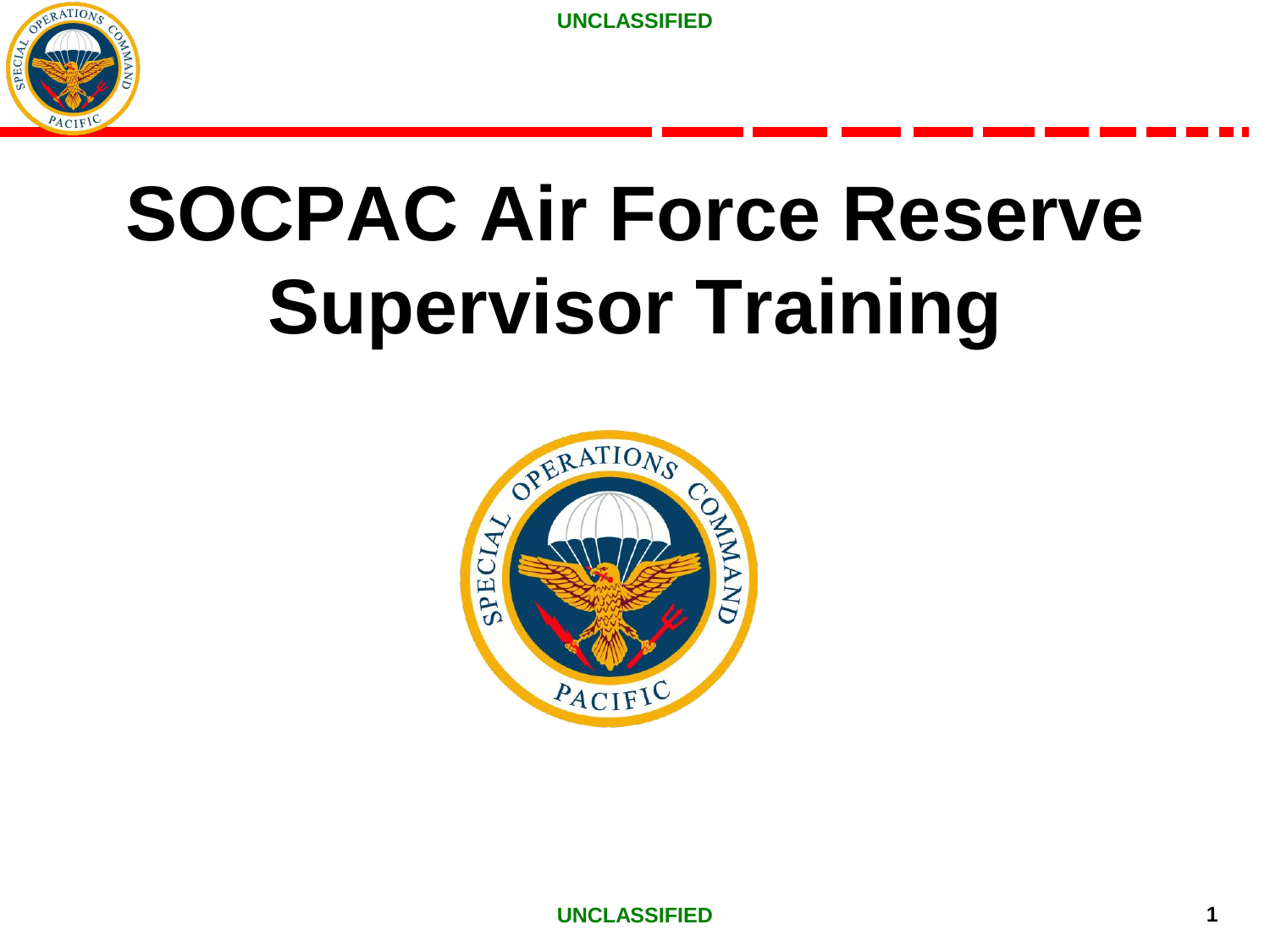

# **SOCPAC Air Force Reserve Supervisor Training**

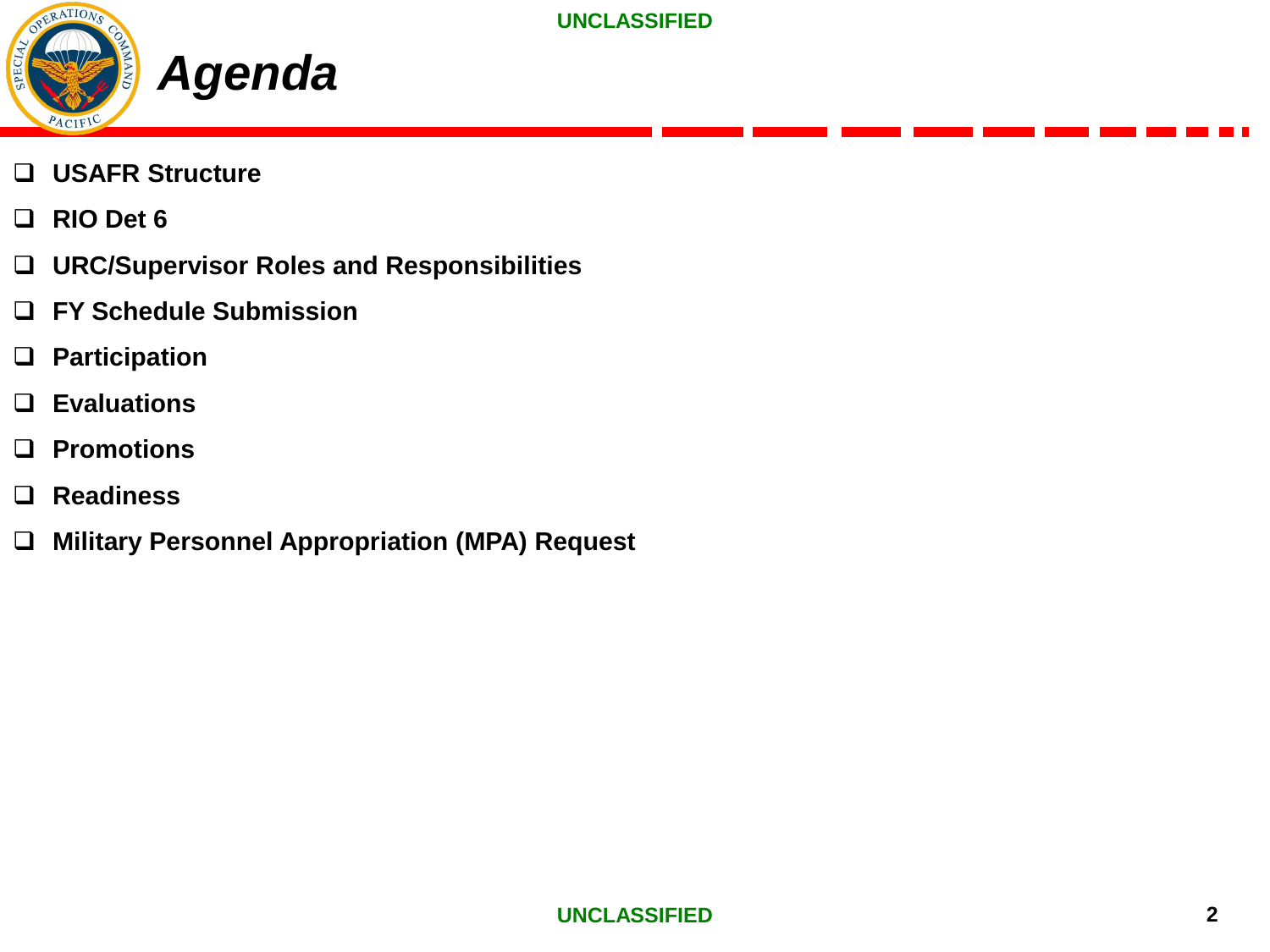

- ❑ **USAFR Structure**
- ❑ **RIO Det 6**
- ❑ **URC/Supervisor Roles and Responsibilities**
- ❑ **FY Schedule Submission**
- ❑ **Participation**
- ❑ **Evaluations**
- ❑ **Promotions**
- ❑ **Readiness**
- ❑ **Military Personnel Appropriation (MPA) Request**

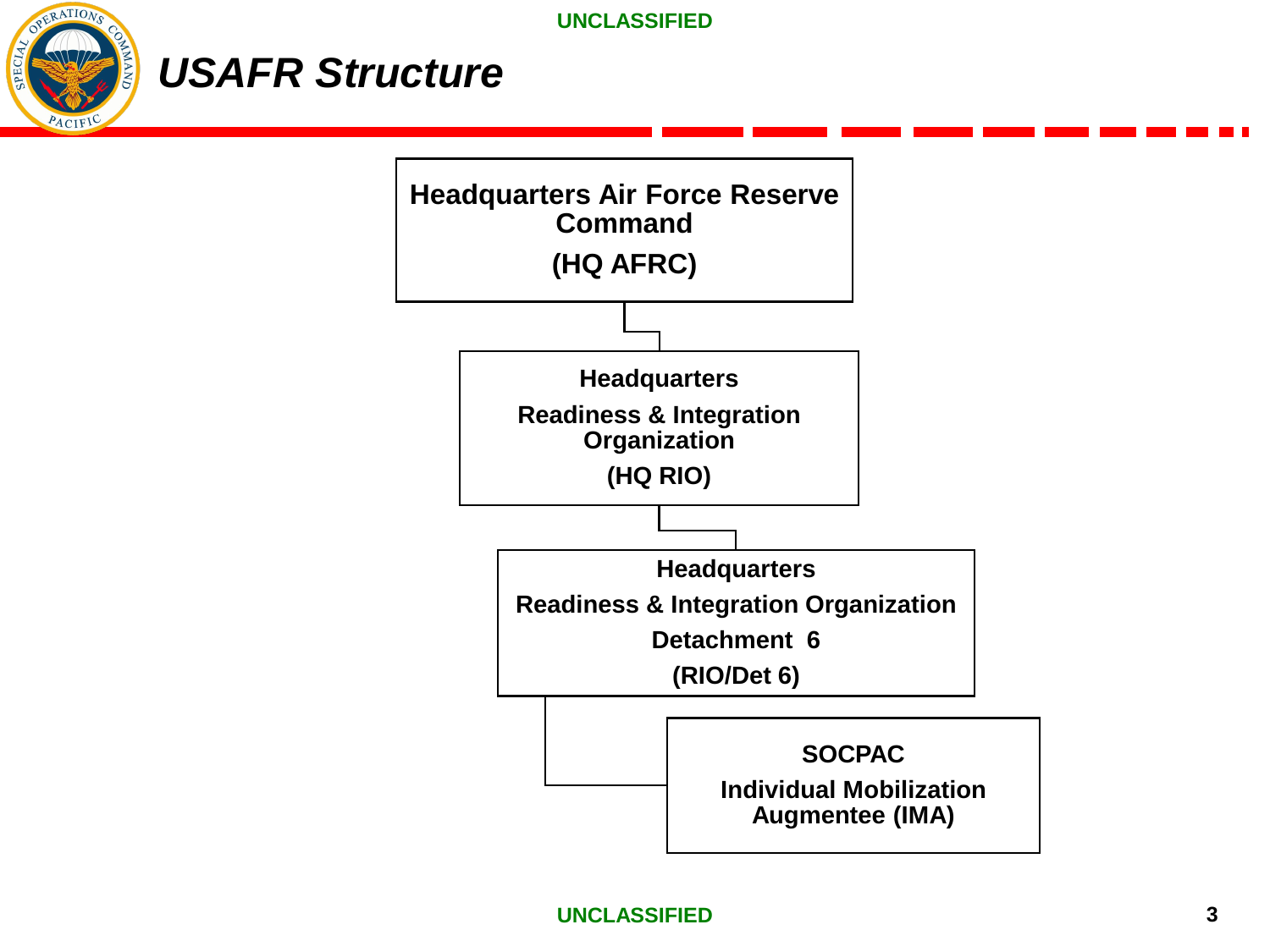

# *USAFR Structure*

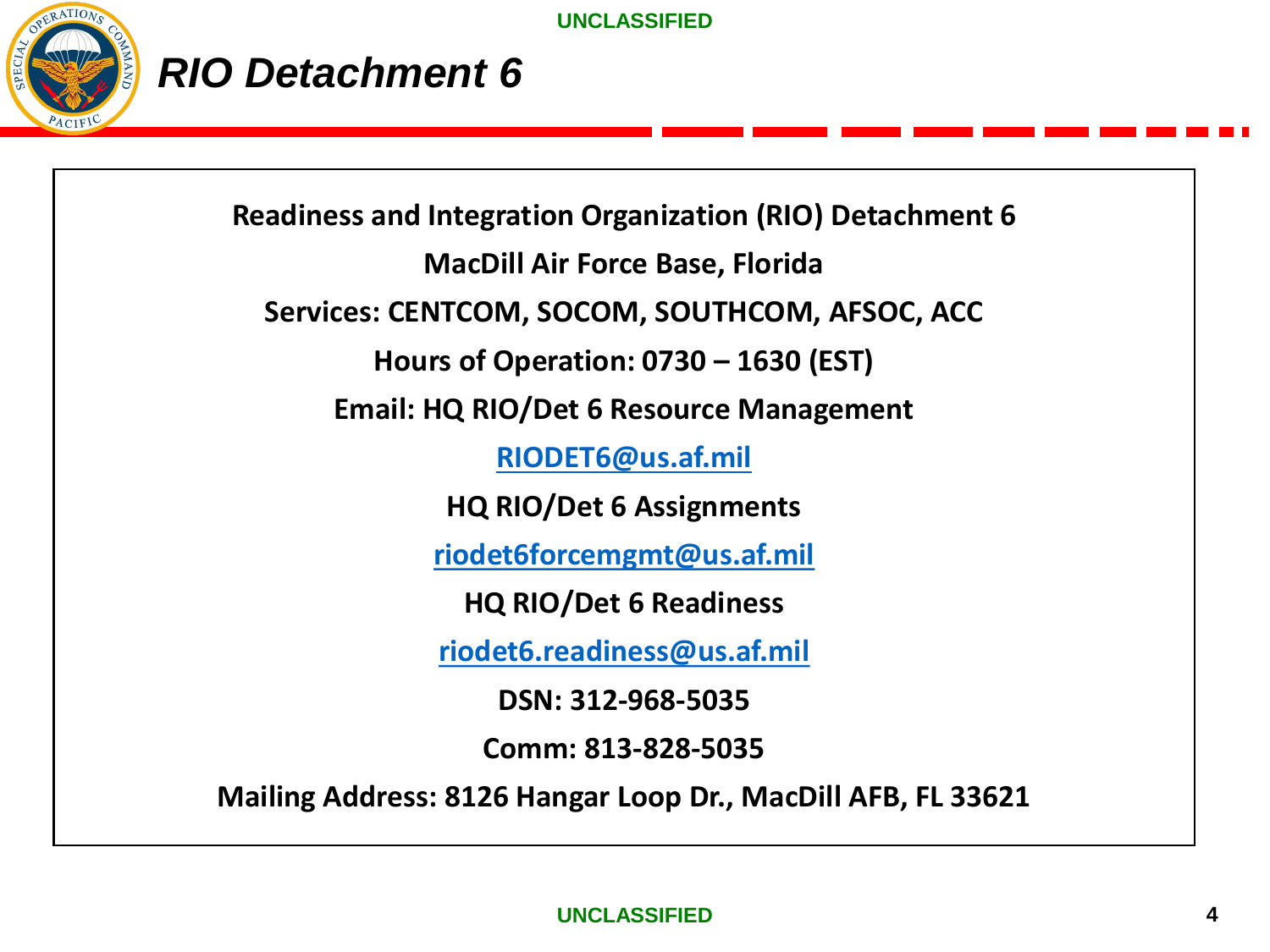

### *RIO Detachment 6*

**Readiness and Integration Organization (RIO) Detachment 6 MacDill Air Force Base, Florida Services: CENTCOM, SOCOM, SOUTHCOM, AFSOC, ACC Hours of Operation: 0730 – 1630 (EST) Email: HQ RIO/Det 6 Resource Management [RIODET6@us.af.mil](mailto:RIODET6@us.af.mil) HQ RIO/Det 6 Assignments [riodet6forcemgmt@us.af.mil](mailto:riodet6forcemgmt@us.af.mil) HQ RIO/Det 6 Readiness [riodet6.readiness@us.af.mil](mailto:riodet6.readiness@us.af.mil) DSN: 312-968-5035 Comm: 813-828-5035**

**Mailing Address: 8126 Hangar Loop Dr., MacDill AFB, FL 33621**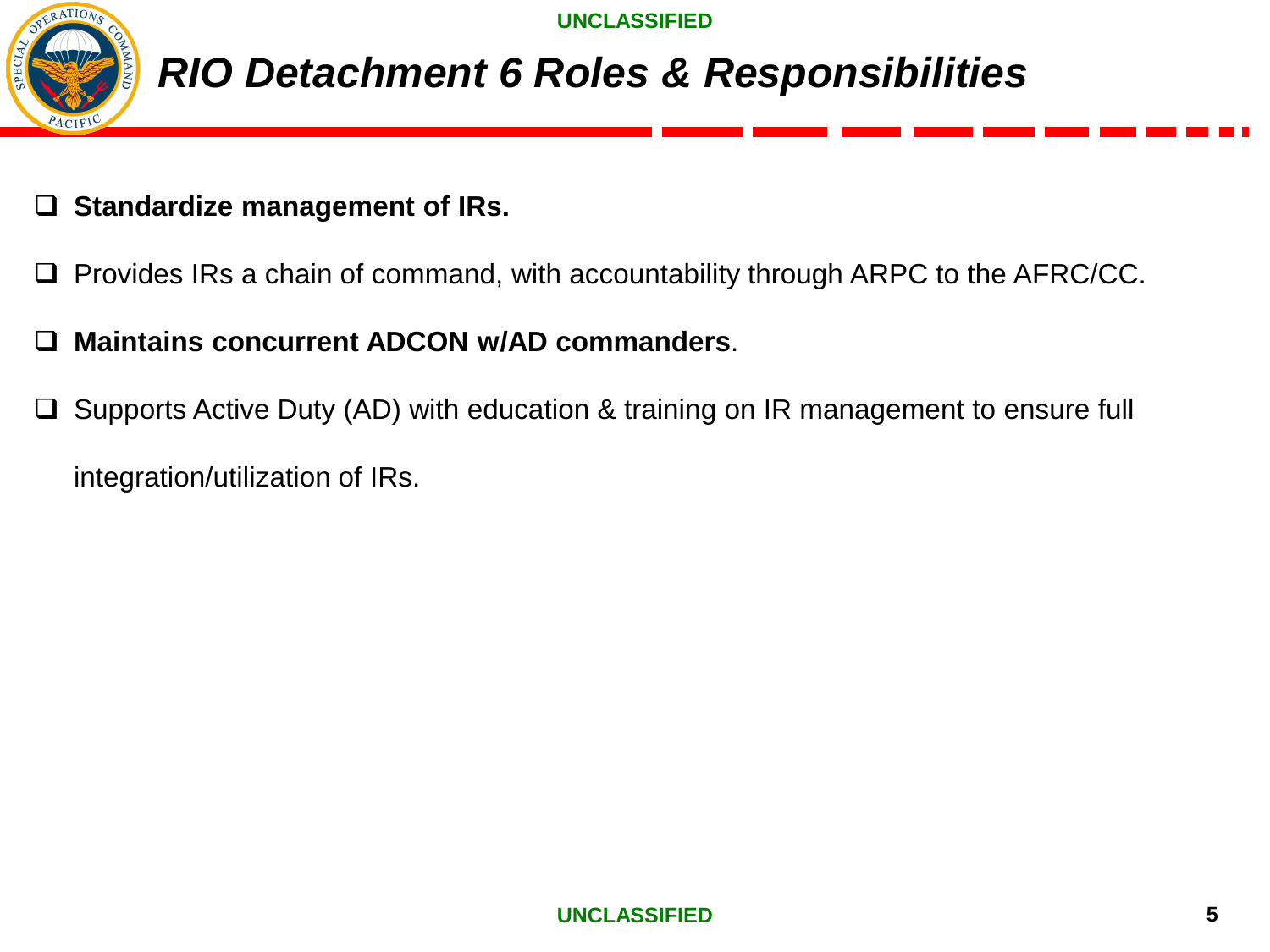

## *RIO Detachment 6 Roles & Responsibilities*

- ❑ **Standardize management of IRs.**
- ❑ Provides IRs a chain of command, with accountability through ARPC to the AFRC/CC.
- ❑ **Maintains concurrent ADCON w/AD commanders**.
- ❑ Supports Active Duty (AD) with education & training on IR management to ensure full integration/utilization of IRs.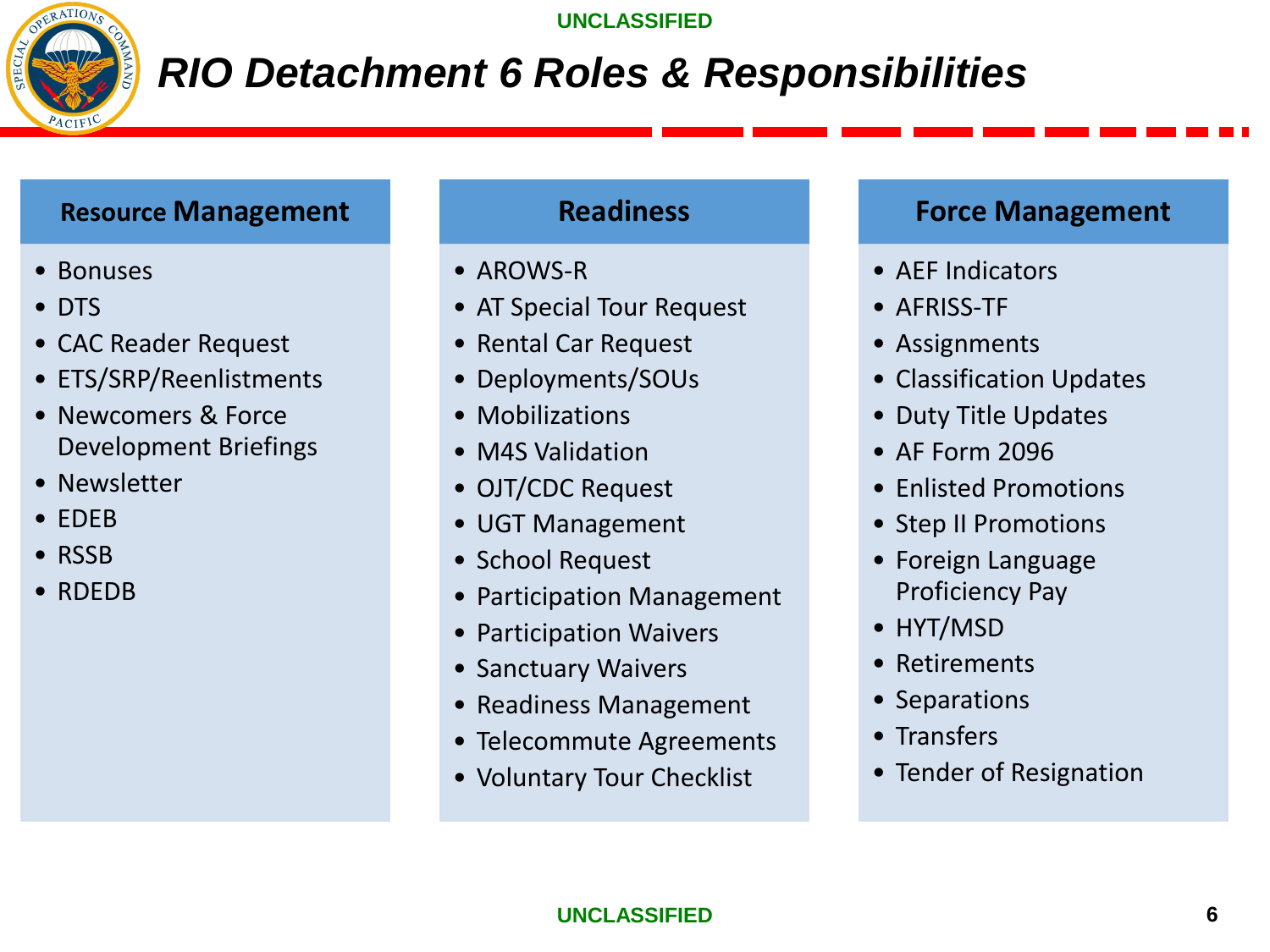

# *RIO Detachment 6 Roles & Responsibilities*

### **Resource Management**

- Bonuses
- DTS
- CAC Reader Request
- ETS/SRP/Reenlistments
- Newcomers & Force Development Briefings
- Newsletter
- EDEB
- RSSB
- RDEDB

### **Readiness**

- AROWS-R
- AT Special Tour Request
- Rental Car Request
- Deployments/SOUs
- Mobilizations
- M4S Validation
- OJT/CDC Request
- UGT Management
- School Request
- Participation Management
- Participation Waivers
- Sanctuary Waivers
- Readiness Management
- Telecommute Agreements
- Voluntary Tour Checklist

### **Force Management**

- AEF Indicators
- AFRISS-TF
- Assignments
- Classification Updates
- Duty Title Updates
- AF Form 2096
- Enlisted Promotions
- Step II Promotions
- Foreign Language Proficiency Pay
- HYT/MSD
- Retirements
- Separations
- Transfers
- Tender of Resignation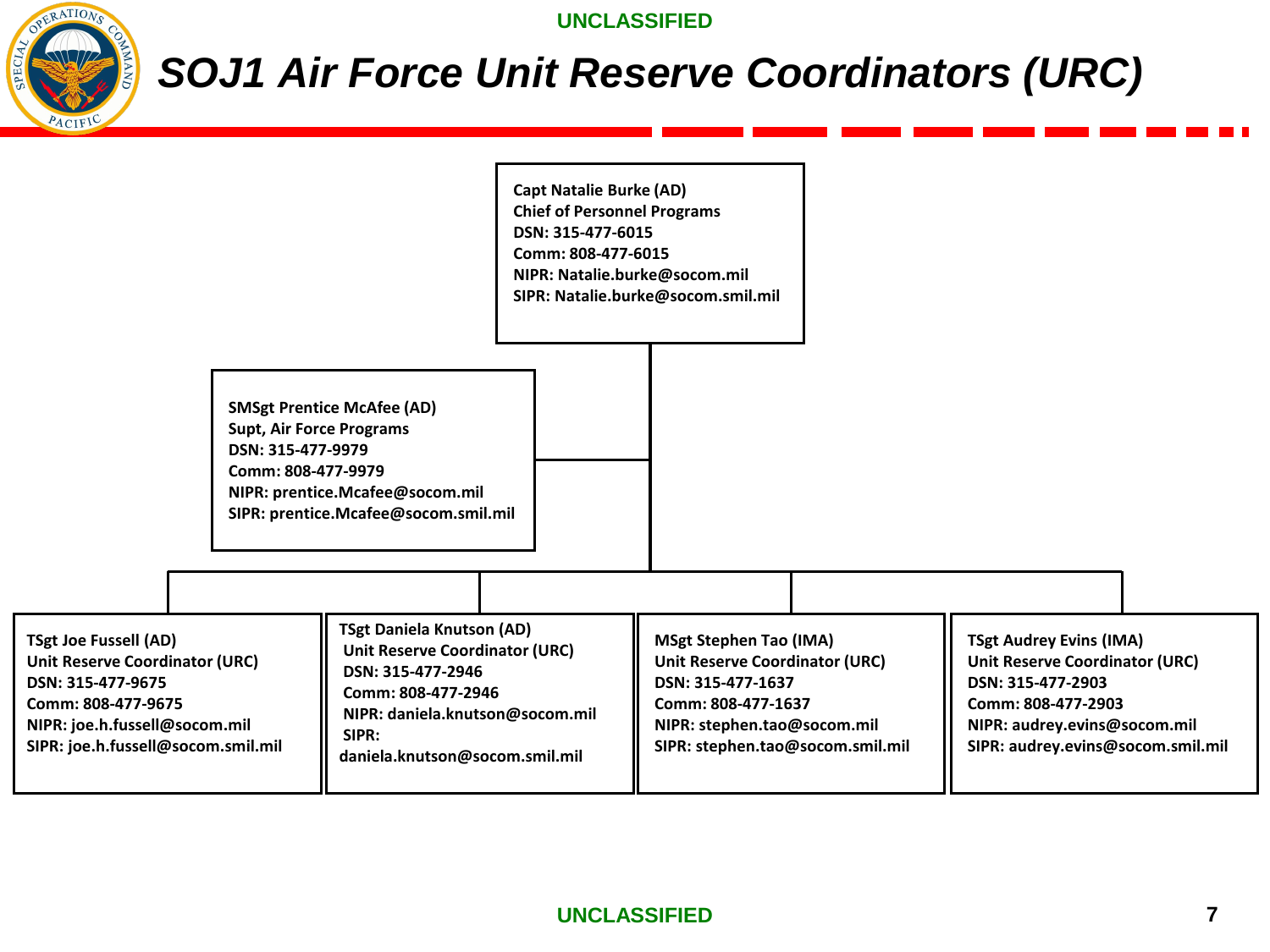OPERATIONS

**UNCLASSIFIED** 

# *SOJ1 Air Force Unit Reserve Coordinators (URC)*

|                                                                                                                                                                                  |                                                                                                                                                                                                    | <b>Capt Natalie Burke (AD)</b><br><b>Chief of Personnel Programs</b><br>DSN: 315-477-6015<br>Comm: 808-477-6015<br>NIPR: Natalie.burke@socom.mil | SIPR: Natalie.burke@socom.smil.mil                                                                                                                                                   |                                                                                                                                                                                         |
|----------------------------------------------------------------------------------------------------------------------------------------------------------------------------------|----------------------------------------------------------------------------------------------------------------------------------------------------------------------------------------------------|--------------------------------------------------------------------------------------------------------------------------------------------------|--------------------------------------------------------------------------------------------------------------------------------------------------------------------------------------|-----------------------------------------------------------------------------------------------------------------------------------------------------------------------------------------|
| DSN: 315-477-9979                                                                                                                                                                | <b>SMSgt Prentice McAfee (AD)</b><br><b>Supt, Air Force Programs</b><br>Comm: 808-477-9979<br>NIPR: prentice.Mcafee@socom.mil<br>SIPR: prentice.Mcafee@socom.smil.mil                              |                                                                                                                                                  |                                                                                                                                                                                      |                                                                                                                                                                                         |
|                                                                                                                                                                                  |                                                                                                                                                                                                    |                                                                                                                                                  |                                                                                                                                                                                      |                                                                                                                                                                                         |
| <b>TSgt Joe Fussell (AD)</b><br>Unit Reserve Coordinator (URC)<br>DSN: 315-477-9675<br>Comm: 808-477-9675<br>NIPR: joe.h.fussell@socom.mil<br>SIPR: joe.h.fussell@socom.smil.mil | <b>TSgt Daniela Knutson (AD)</b><br><b>Unit Reserve Coordinator (URC)</b><br>DSN: 315-477-2946<br>Comm: 808-477-2946<br>NIPR: daniela.knutson@socom.mil<br>SIPR:<br>daniela.knutson@socom.smil.mil |                                                                                                                                                  | <b>MSgt Stephen Tao (IMA)</b><br><b>Unit Reserve Coordinator (URC)</b><br>DSN: 315-477-1637<br>Comm: 808-477-1637<br>NIPR: stephen.tao@socom.mil<br>SIPR: stephen.tao@socom.smil.mil | <b>TSgt Audrey Evins (IMA)</b><br><b>Unit Reserve Coordinator (URC)</b><br>DSN: 315-477-2903<br>Comm: 808-477-2903<br>NIPR: audrey.evins@socom.mil<br>SIPR: audrey.evins@socom.smil.mil |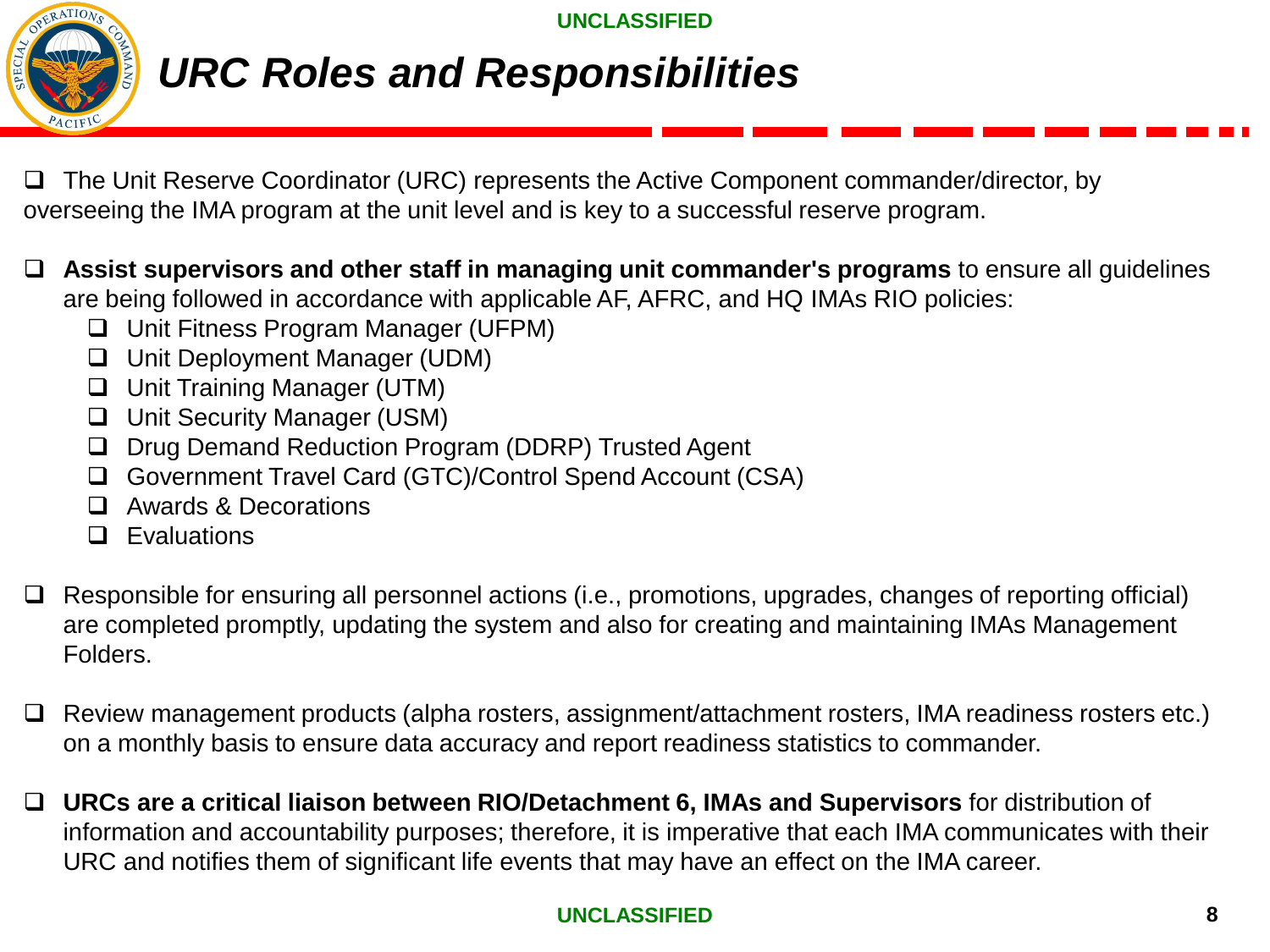

# *URC Roles and Responsibilities*

❑ The Unit Reserve Coordinator (URC) represents the Active Component commander/director, by overseeing the IMA program at the unit level and is key to a successful reserve program.

❑ **Assist supervisors and other staff in managing unit commander's programs** to ensure all guidelines are being followed in accordance with applicable AF, AFRC, and HQ IMAs RIO policies:

- ❑ Unit Fitness Program Manager (UFPM)
- ❑ Unit Deployment Manager (UDM)
- ❑ Unit Training Manager (UTM)
- ❑ Unit Security Manager (USM)
- ❑ Drug Demand Reduction Program (DDRP) Trusted Agent
- ❑ Government Travel Card (GTC)/Control Spend Account (CSA)
- ❑ Awards & Decorations
- ❑ Evaluations
- ❑ Responsible for ensuring all personnel actions (i.e., promotions, upgrades, changes of reporting official) are completed promptly, updating the system and also for creating and maintaining IMAs Management Folders.
- ❑ Review management products (alpha rosters, assignment/attachment rosters, IMA readiness rosters etc.) on a monthly basis to ensure data accuracy and report readiness statistics to commander.
- ❑ **URCs are a critical liaison between RIO/Detachment 6, IMAs and Supervisors** for distribution of information and accountability purposes; therefore, it is imperative that each IMA communicates with their URC and notifies them of significant life events that may have an effect on the IMA career.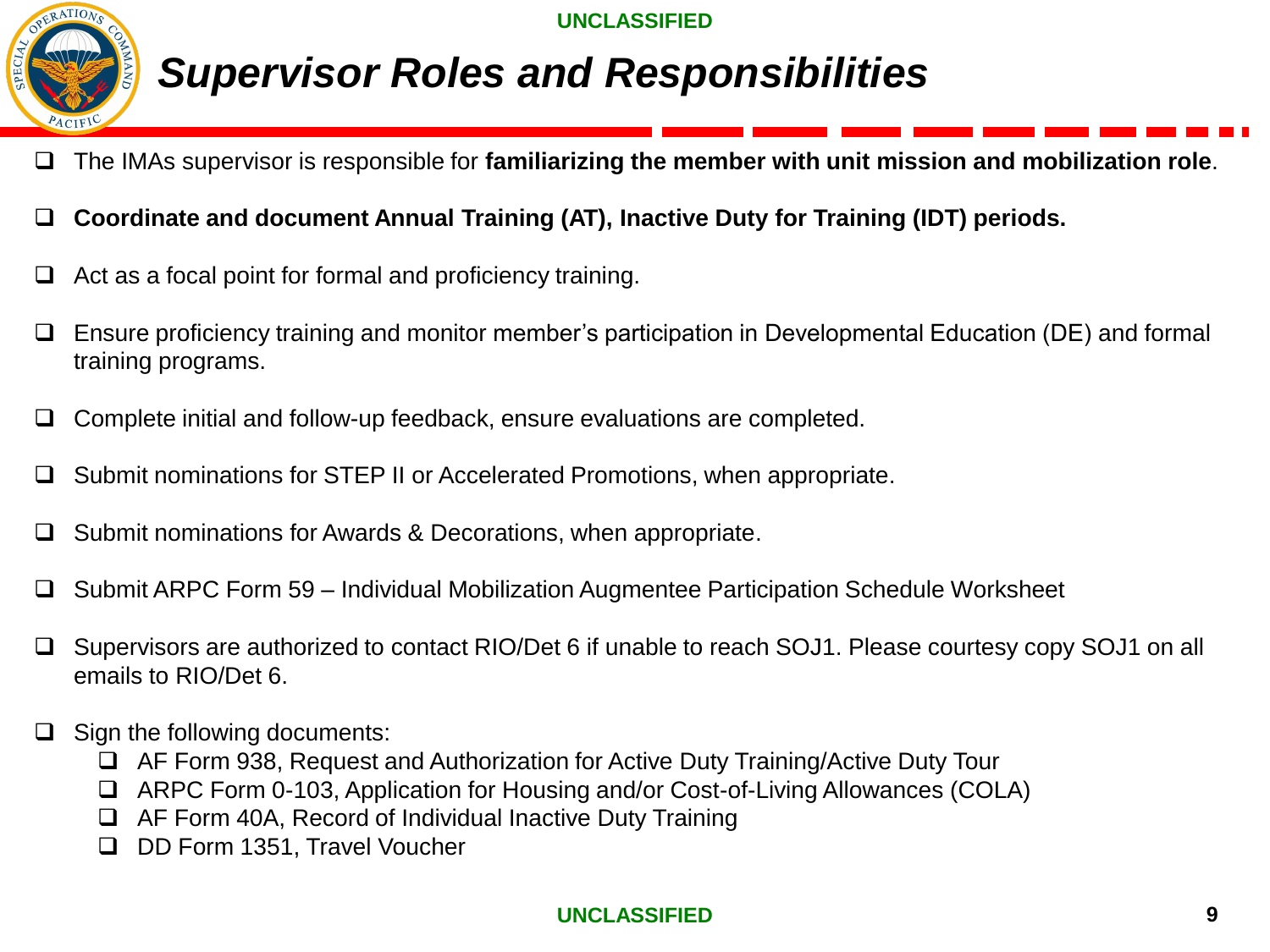

# *Supervisor Roles and Responsibilities*

- ❑ The IMAs supervisor is responsible for **familiarizing the member with unit mission and mobilization role**.
- ❑ **Coordinate and document Annual Training (AT), Inactive Duty for Training (IDT) periods.**
- $\Box$  Act as a focal point for formal and proficiency training.
- ❑ Ensure proficiency training and monitor member's participation in Developmental Education (DE) and formal training programs.
- ❑ Complete initial and follow-up feedback, ensure evaluations are completed.
- ❑ Submit nominations for STEP II or Accelerated Promotions, when appropriate.
- Submit nominations for Awards & Decorations, when appropriate.
- ❑ Submit ARPC Form 59 Individual Mobilization Augmentee Participation Schedule Worksheet
- ❑ Supervisors are authorized to contact RIO/Det 6 if unable to reach SOJ1. Please courtesy copy SOJ1 on all emails to RIO/Det 6.
- ❑ Sign the following documents:
	- ❑ AF Form 938, Request and Authorization for Active Duty Training/Active Duty Tour
	- ❑ ARPC Form 0-103, Application for Housing and/or Cost-of-Living Allowances (COLA)
	- ❑ AF Form 40A, Record of Individual Inactive Duty Training
	- ❑ DD Form 1351, Travel Voucher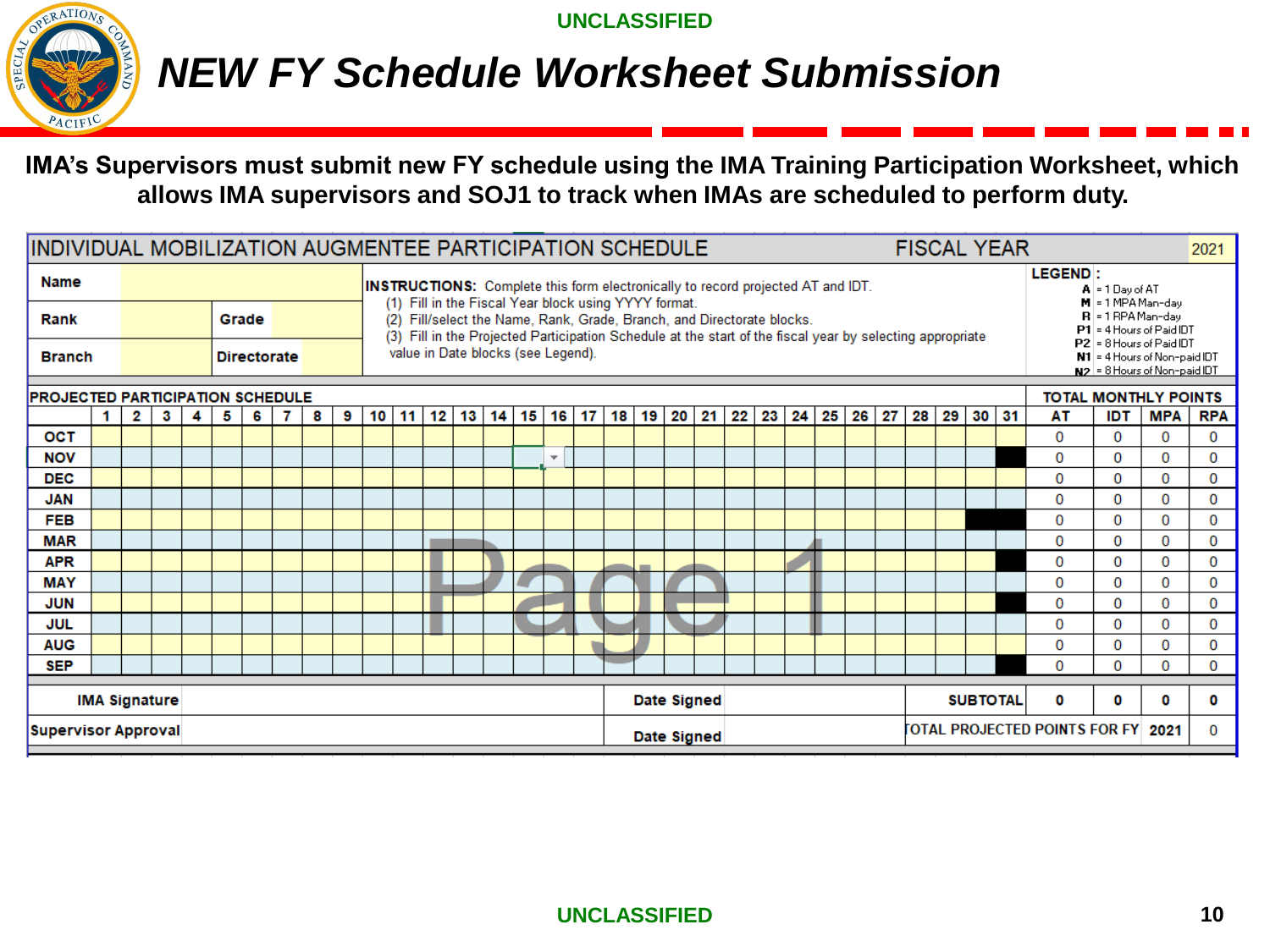

### *NEW FY Schedule Worksheet Submission*

**IMA's Supervisors must submit new FY schedule using the IMA Training Participation Worksheet, which allows IMA supervisors and SOJ1 to track when IMAs are scheduled to perform duty.** 

|                                         |   |                      |   |   |   |       |                    |   | IINDIVIDUAL MOBILIZATION AUGMENTEE PARTICIPATION SCHEDULE<br><b>FISCAL YEAR</b> |    |                                                                                                                                                                                                                                                                                                                                                                                                                                                                                                                                                            |                                                                                                                                                                                     |  |  |  | 2021                     |   |            |             |  |  |  |  |  |                                      |          |                                  |   |
|-----------------------------------------|---|----------------------|---|---|---|-------|--------------------|---|---------------------------------------------------------------------------------|----|------------------------------------------------------------------------------------------------------------------------------------------------------------------------------------------------------------------------------------------------------------------------------------------------------------------------------------------------------------------------------------------------------------------------------------------------------------------------------------------------------------------------------------------------------------|-------------------------------------------------------------------------------------------------------------------------------------------------------------------------------------|--|--|--|--------------------------|---|------------|-------------|--|--|--|--|--|--------------------------------------|----------|----------------------------------|---|
| <b>Name</b><br>Rank<br><b>Branch</b>    |   |                      |   |   |   | Grade | <b>Directorate</b> |   |                                                                                 |    | <b>LEGEND:</b><br><b>INSTRUCTIONS:</b> Complete this form electronically to record projected AT and IDT.<br>$A = 1$ Dav of AT<br>(1) Fill in the Fiscal Year block using YYYY format.<br>$M = 1$ MPA Man-day<br>$R = 1$ RPA Man-day<br>(2) Fill/select the Name, Rank, Grade, Branch, and Directorate blocks.<br>$P1 = 4$ Hours of Paid IDT<br>(3) Fill in the Projected Participation Schedule at the start of the fiscal year by selecting appropriate<br>P2 = 8 Hours of Paid IDT<br>value in Date blocks (see Legend).<br>N1 = 4 Hours of Non-paid IDT |                                                                                                                                                                                     |  |  |  |                          |   |            |             |  |  |  |  |  |                                      |          |                                  |   |
| <b>PROJECTED PARTICIPATION SCHEDULE</b> |   |                      |   |   |   |       |                    |   |                                                                                 |    |                                                                                                                                                                                                                                                                                                                                                                                                                                                                                                                                                            |                                                                                                                                                                                     |  |  |  |                          |   |            |             |  |  |  |  |  |                                      |          | $ N2 $ = 8 Hours of Non-paid IDT |   |
|                                         | 1 | 2                    | 3 | 4 | 5 | 6     | 7                  | 8 | 9                                                                               | 10 |                                                                                                                                                                                                                                                                                                                                                                                                                                                                                                                                                            | <b>TOTAL MONTHLY POINTS</b><br>$12$ 13 14<br>15<br>16 17<br> 18 <br>19<br>20<br>21<br>22<br>23<br>25<br>26<br>27<br>28<br>29<br>30 31<br>AT<br><b>IDT</b><br><b>MPA</b><br>11<br>24 |  |  |  |                          |   | <b>RPA</b> |             |  |  |  |  |  |                                      |          |                                  |   |
| OCT                                     |   |                      |   |   |   |       |                    |   |                                                                                 |    | 0<br>0<br>0                                                                                                                                                                                                                                                                                                                                                                                                                                                                                                                                                |                                                                                                                                                                                     |  |  |  |                          | 0 |            |             |  |  |  |  |  |                                      |          |                                  |   |
| <b>NOV</b>                              |   |                      |   |   |   |       |                    |   |                                                                                 |    |                                                                                                                                                                                                                                                                                                                                                                                                                                                                                                                                                            |                                                                                                                                                                                     |  |  |  | $\overline{\phantom{a}}$ |   |            |             |  |  |  |  |  | 0                                    | 0        | 0                                | 0 |
| <b>DEC</b>                              |   |                      |   |   |   |       |                    |   |                                                                                 |    |                                                                                                                                                                                                                                                                                                                                                                                                                                                                                                                                                            |                                                                                                                                                                                     |  |  |  |                          |   |            |             |  |  |  |  |  | 0                                    | 0        | 0                                | 0 |
| <b>JAN</b>                              |   |                      |   |   |   |       |                    |   |                                                                                 |    |                                                                                                                                                                                                                                                                                                                                                                                                                                                                                                                                                            |                                                                                                                                                                                     |  |  |  |                          |   |            |             |  |  |  |  |  | 0                                    | 0        | 0                                | 0 |
| <b>FEB</b>                              |   |                      |   |   |   |       |                    |   |                                                                                 |    |                                                                                                                                                                                                                                                                                                                                                                                                                                                                                                                                                            |                                                                                                                                                                                     |  |  |  |                          |   |            |             |  |  |  |  |  | $\Omega$                             | 0        | 0                                | 0 |
| <b>MAR</b>                              |   |                      |   |   |   |       |                    |   |                                                                                 |    |                                                                                                                                                                                                                                                                                                                                                                                                                                                                                                                                                            |                                                                                                                                                                                     |  |  |  |                          |   |            |             |  |  |  |  |  | $\Omega$                             | 0        | 0                                | 0 |
| <b>APR</b>                              |   |                      |   |   |   |       |                    |   |                                                                                 |    |                                                                                                                                                                                                                                                                                                                                                                                                                                                                                                                                                            |                                                                                                                                                                                     |  |  |  |                          |   |            |             |  |  |  |  |  | 0                                    | 0        | 0                                | 0 |
| <b>MAY</b>                              |   |                      |   |   |   |       |                    |   |                                                                                 |    | $\Omega$<br>0<br>0                                                                                                                                                                                                                                                                                                                                                                                                                                                                                                                                         |                                                                                                                                                                                     |  |  |  |                          | 0 |            |             |  |  |  |  |  |                                      |          |                                  |   |
| <b>JUN</b>                              |   |                      |   |   |   |       |                    |   |                                                                                 |    | 0<br>0<br>0                                                                                                                                                                                                                                                                                                                                                                                                                                                                                                                                                |                                                                                                                                                                                     |  |  |  |                          | 0 |            |             |  |  |  |  |  |                                      |          |                                  |   |
| JUL                                     |   |                      |   |   |   |       |                    |   |                                                                                 |    | $\Omega$<br>0<br>0                                                                                                                                                                                                                                                                                                                                                                                                                                                                                                                                         |                                                                                                                                                                                     |  |  |  |                          | 0 |            |             |  |  |  |  |  |                                      |          |                                  |   |
| <b>AUG</b>                              |   |                      |   |   |   |       |                    |   |                                                                                 |    | 0<br>0<br>0                                                                                                                                                                                                                                                                                                                                                                                                                                                                                                                                                |                                                                                                                                                                                     |  |  |  |                          | 0 |            |             |  |  |  |  |  |                                      |          |                                  |   |
| <b>SEP</b>                              |   |                      |   |   |   |       |                    |   |                                                                                 |    |                                                                                                                                                                                                                                                                                                                                                                                                                                                                                                                                                            |                                                                                                                                                                                     |  |  |  |                          |   |            |             |  |  |  |  |  | $\Omega$                             | $\Omega$ | $\Omega$                         | 0 |
|                                         |   | <b>IMA Signature</b> |   |   |   |       |                    |   |                                                                                 |    | <b>Date Signed</b><br><b>SUBTOTAL</b><br>0<br>0<br>0                                                                                                                                                                                                                                                                                                                                                                                                                                                                                                       |                                                                                                                                                                                     |  |  |  |                          |   | 0          |             |  |  |  |  |  |                                      |          |                                  |   |
| <b>Supervisor Approval</b>              |   |                      |   |   |   |       |                    |   |                                                                                 |    |                                                                                                                                                                                                                                                                                                                                                                                                                                                                                                                                                            |                                                                                                                                                                                     |  |  |  |                          |   |            | Date Signed |  |  |  |  |  | <b>FOTAL PROJECTED POINTS FOR FY</b> |          | 2021                             | 0 |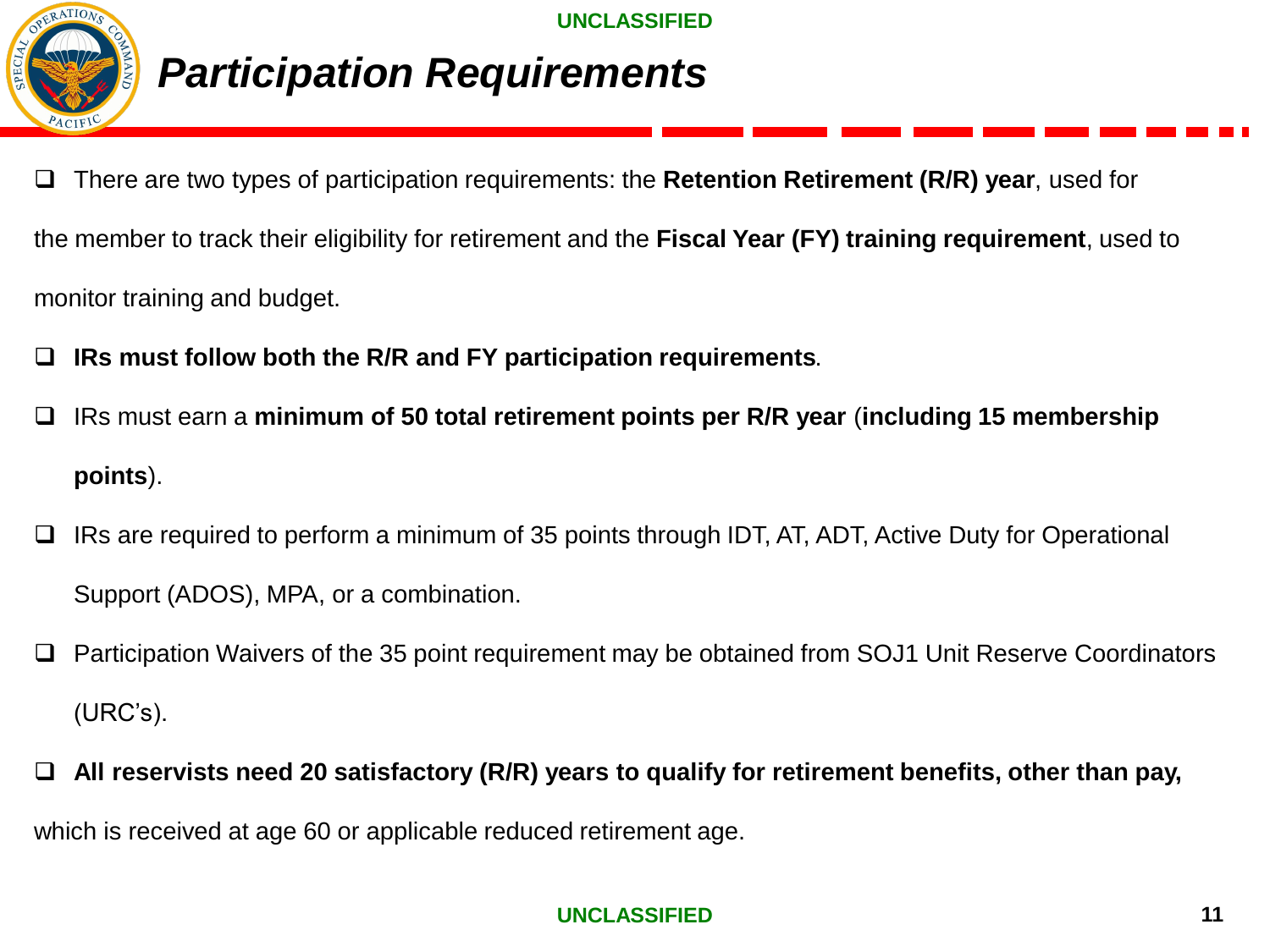

### *Participation Requirements*

❑ There are two types of participation requirements: the **Retention Retirement (R/R) year**, used for the member to track their eligibility for retirement and the **Fiscal Year (FY) training requirement**, used to monitor training and budget.

- ❑ **IRs must follow both the R/R and FY participation requirements**.
- ❑ IRs must earn a **minimum of 50 total retirement points per R/R year** (**including 15 membership points**).
- ❑ IRs are required to perform a minimum of 35 points through IDT, AT, ADT, Active Duty for Operational Support (ADOS), MPA, or a combination.
- ❑ Participation Waivers of the 35 point requirement may be obtained from SOJ1 Unit Reserve Coordinators (URC's).
- ❑ **All reservists need 20 satisfactory (R/R) years to qualify for retirement benefits, other than pay,** which is received at age 60 or applicable reduced retirement age.

### **UNCLASSIFIED 11** 11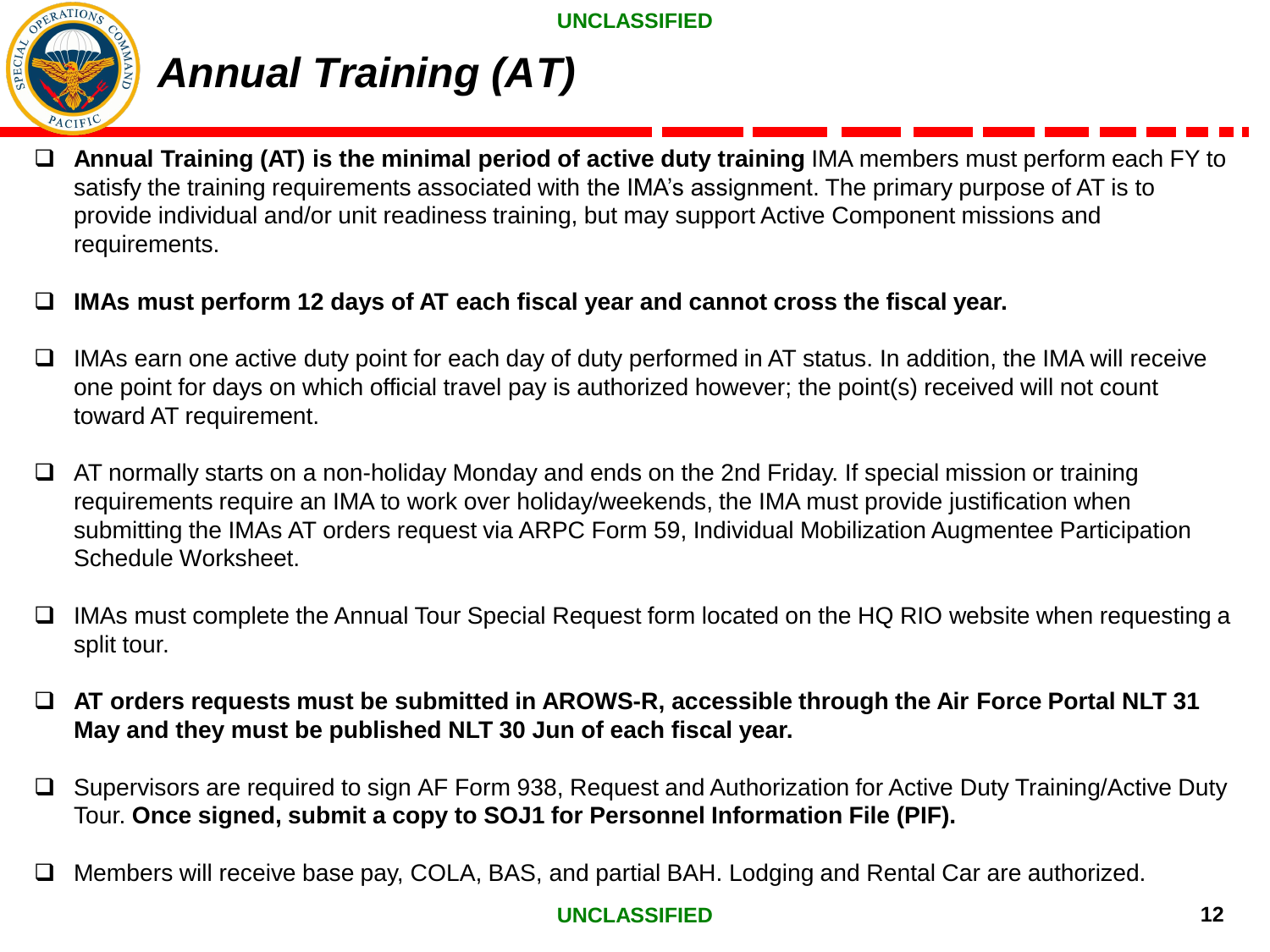

# *Annual Training (AT)*

- ❑ **Annual Training (AT) is the minimal period of active duty training** IMA members must perform each FY to satisfy the training requirements associated with the IMA's assignment. The primary purpose of AT is to provide individual and/or unit readiness training, but may support Active Component missions and requirements.
- ❑ **IMAs must perform 12 days of AT each fiscal year and cannot cross the fiscal year.**
- ❑ IMAs earn one active duty point for each day of duty performed in AT status. In addition, the IMA will receive one point for days on which official travel pay is authorized however; the point(s) received will not count toward AT requirement.
- ❑ AT normally starts on a non-holiday Monday and ends on the 2nd Friday. If special mission or training requirements require an IMA to work over holiday/weekends, the IMA must provide justification when submitting the IMAs AT orders request via ARPC Form 59, Individual Mobilization Augmentee Participation Schedule Worksheet.
- ❑ IMAs must complete the Annual Tour Special Request form located on the HQ RIO website when requesting a split tour.
- ❑ **AT orders requests must be submitted in AROWS-R, accessible through the Air Force Portal NLT 31 May and they must be published NLT 30 Jun of each fiscal year.**
- ❑ Supervisors are required to sign AF Form 938, Request and Authorization for Active Duty Training/Active Duty Tour. **Once signed, submit a copy to SOJ1 for Personnel Information File (PIF).**
- ❑ Members will receive base pay, COLA, BAS, and partial BAH. Lodging and Rental Car are authorized.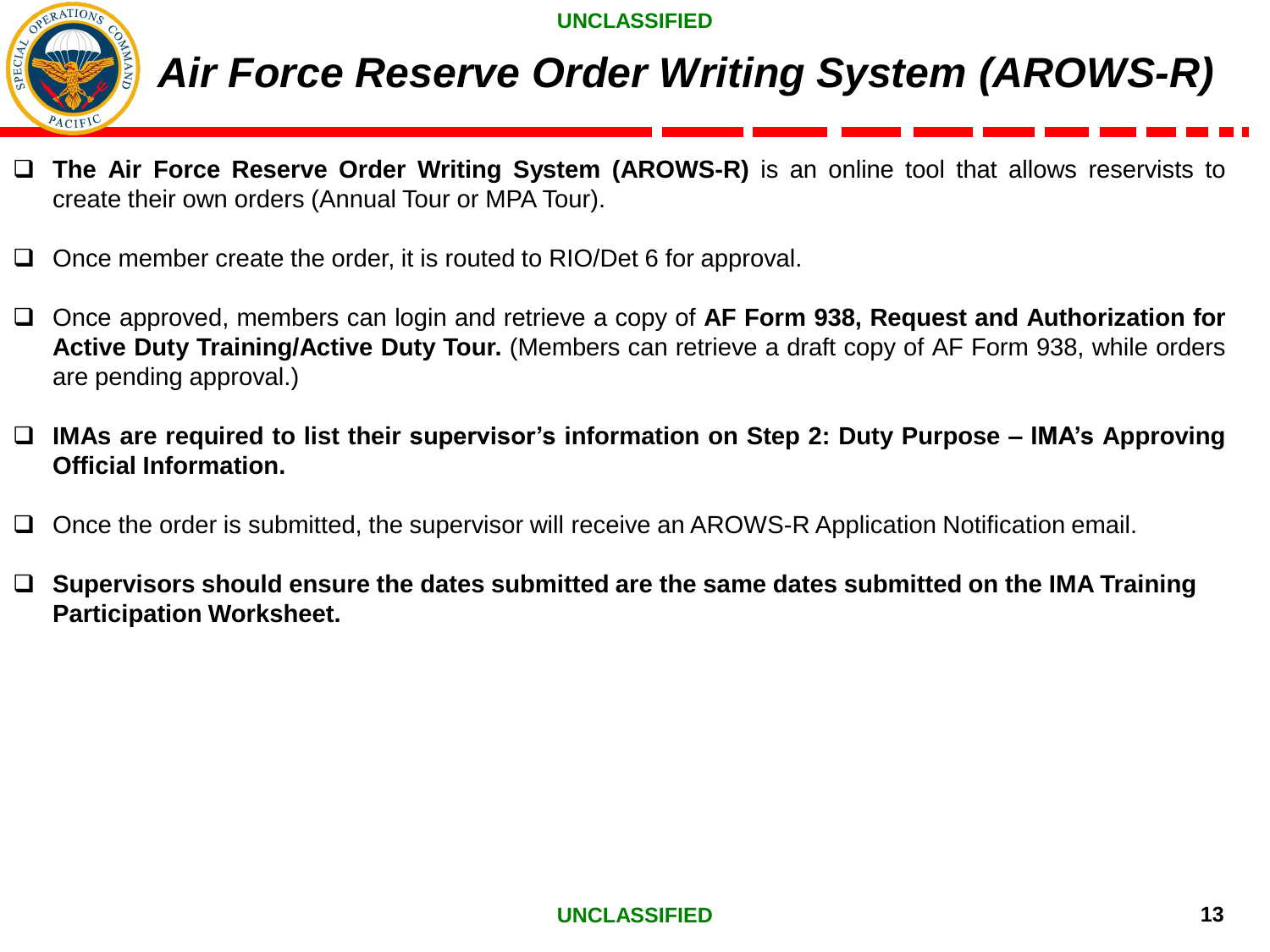

# *Air Force Reserve Order Writing System (AROWS-R)*

- ❑ **The Air Force Reserve Order Writing System (AROWS-R)** is an online tool that allows reservists to create their own orders (Annual Tour or MPA Tour).
- ❑ Once member create the order, it is routed to RIO/Det 6 for approval.
- ❑ Once approved, members can login and retrieve a copy of **AF Form 938, Request and Authorization for Active Duty Training/Active Duty Tour.** (Members can retrieve a draft copy of AF Form 938, while orders are pending approval.)
- ❑ **IMAs are required to list their supervisor's information on Step 2: Duty Purpose – IMA's Approving Official Information.**
- ❑ Once the order is submitted, the supervisor will receive an AROWS-R Application Notification email.
- ❑ **Supervisors should ensure the dates submitted are the same dates submitted on the IMA Training Participation Worksheet.**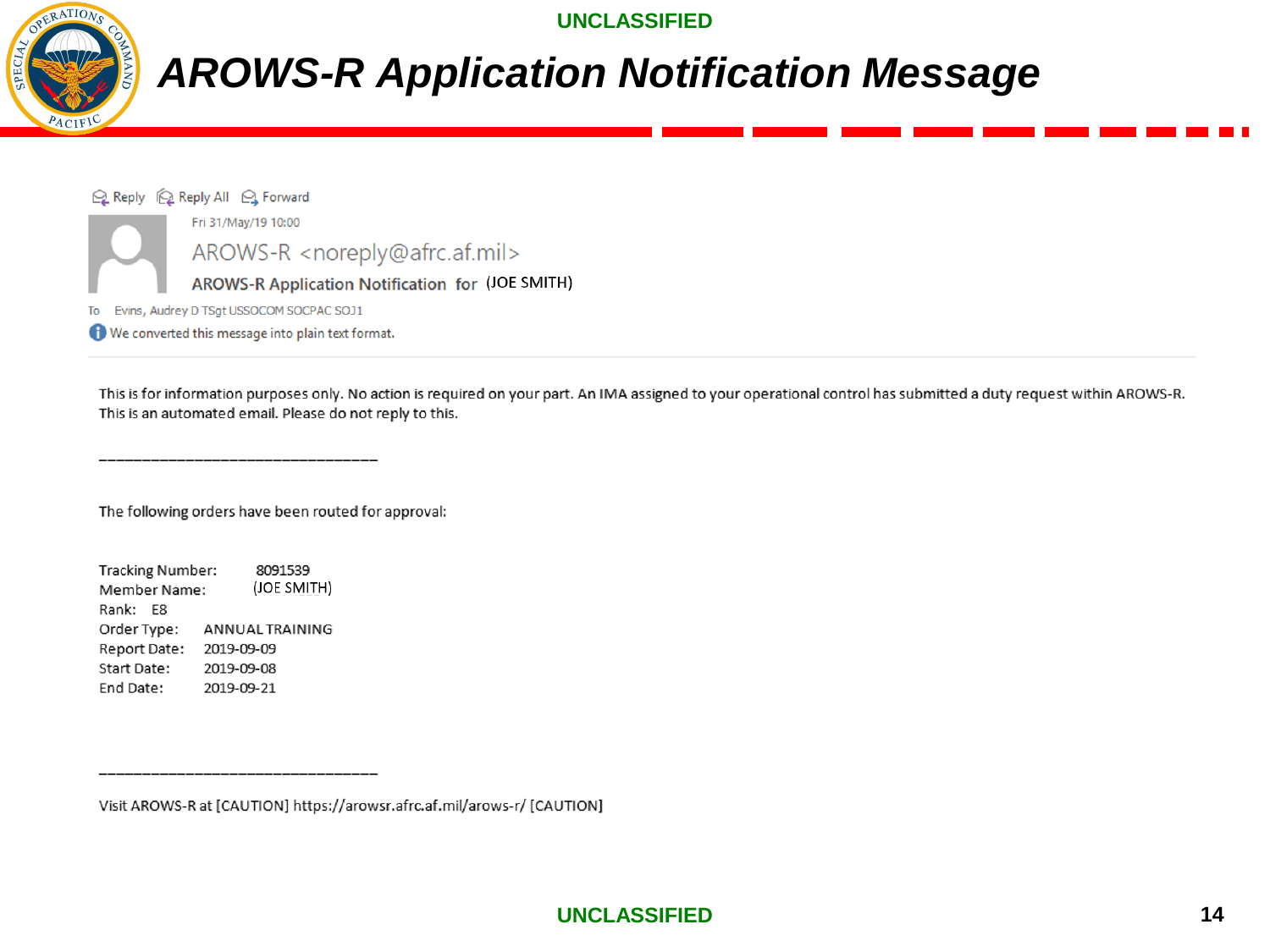

# *AROWS-R Application Notification Message*

Q Reply (Q Reply All Q Forward Fri 31/May/19 10:00 AROWS-R <noreply@afrc.af.mil> AROWS-R Application Notification for (JOE SMITH) To Evins, Audrey D TSgt USSOCOM SOCPAC SOJ1 We converted this message into plain text format.

This is for information purposes only. No action is required on your part. An IMA assigned to your operational control has submitted a duty request within AROWS-R. This is an automated email. Please do not reply to this.

The following orders have been routed for approval:

Tracking Number: 8091539 (JOE SMITH) Member Name: Rank: E8 Order Type: ANNUAL TRAINING Report Date: 2019-09-09 Start Date: 2019-09-08 End Date: 2019-09-21

Visit AROWS-R at [CAUTION] https://arowsr.afrc.af.mil/arows-r/ [CAUTION]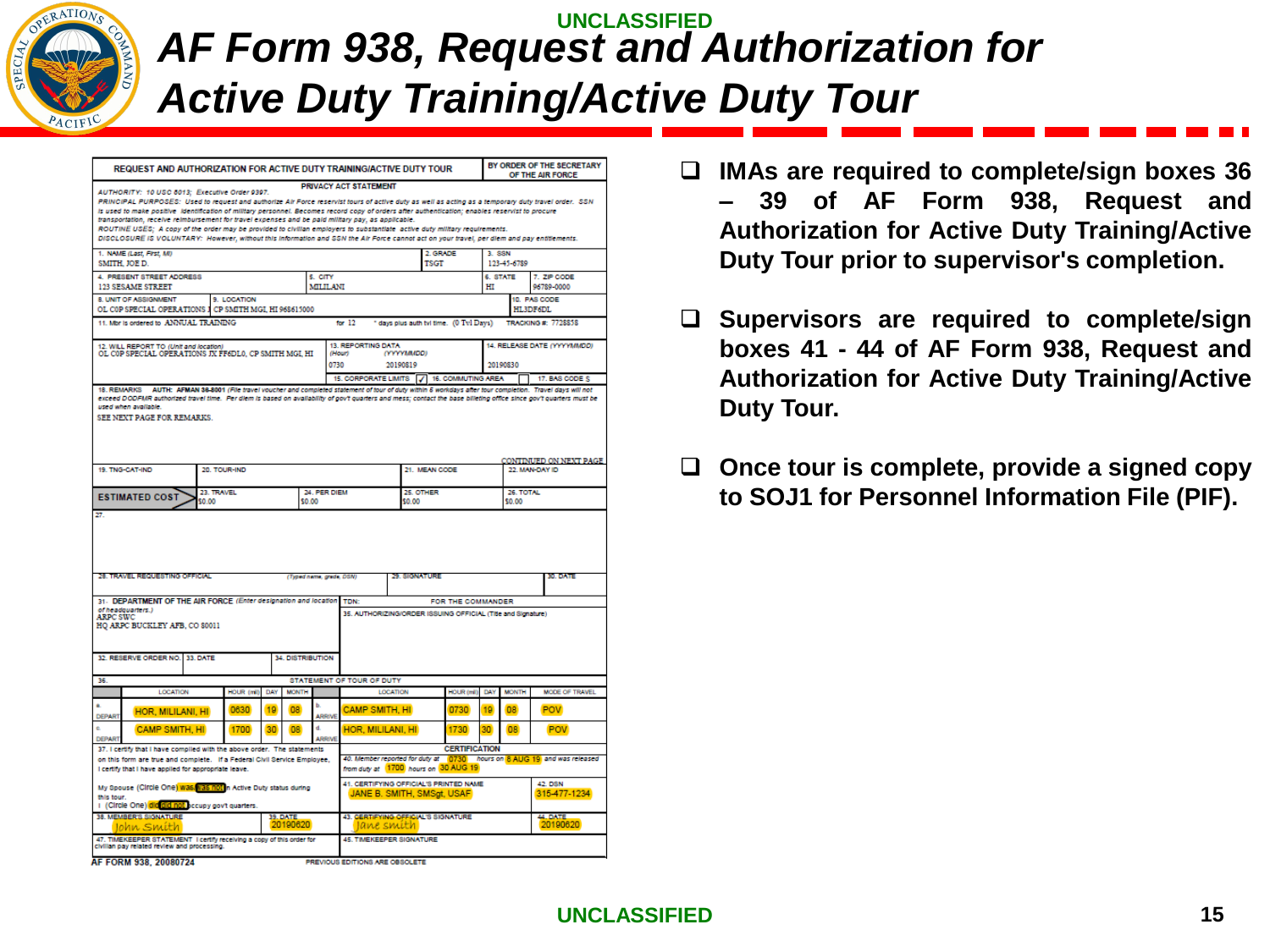

### **UNCLASSIFIED**  *AF Form 938, Request and Authorization for Active Duty Training/Active Duty Tour*

| REQUEST AND AUTHORIZATION FOR ACTIVE DUTY TRAINING/ACTIVE DUTY TOUR                                                                                                                                                                                                                                                                                                                                                                                                                                                                                                                                                                                                |                                           |                      |                                   |                                                                               |                        |                                                                      |                |                                      | BY ORDER OF THE SECRETARY<br>OF THE AIR FORCE                               |
|--------------------------------------------------------------------------------------------------------------------------------------------------------------------------------------------------------------------------------------------------------------------------------------------------------------------------------------------------------------------------------------------------------------------------------------------------------------------------------------------------------------------------------------------------------------------------------------------------------------------------------------------------------------------|-------------------------------------------|----------------------|-----------------------------------|-------------------------------------------------------------------------------|------------------------|----------------------------------------------------------------------|----------------|--------------------------------------|-----------------------------------------------------------------------------|
| AUTHORITY: 10 USC 6013; Executive Order 9397.<br>PRINCIPAL PURPOSES: Used to request and authorize Air Force reservist tours of active duty as well as acting as a temporary duty travel order. SSN                                                                                                                                                                                                                                                                                                                                                                                                                                                                |                                           |                      |                                   | PRIVACY ACT STATEMENT                                                         |                        |                                                                      |                |                                      |                                                                             |
| is used to make positive Identification of military personnel. Becomes record copy of orders after authentication; enables reservist to procure<br>transportation, receive reimbursement for travel expenses and be paid military pay, as applicable.<br>ROUTINE USES: A copy of the order may be provided to civilian employers to substantiate active duty military requirements.<br>DISCLOSURE IS VOLUNTARY: However, without this information and SSN the Air Force cannot act on your travel, per diem and pay entitiements.                                                                                                                                  |                                           |                      |                                   |                                                                               |                        |                                                                      |                |                                      |                                                                             |
| 1. NAME (Last First M)<br>SMITH, JOE D.                                                                                                                                                                                                                                                                                                                                                                                                                                                                                                                                                                                                                            |                                           |                      |                                   |                                                                               |                        | 2. GRADE<br><b>TSGT</b>                                              | 3. SSN         | 123-45-6789                          |                                                                             |
| 4. PRESENT STREET ADDRESS<br><b>123 SESAME STREET</b>                                                                                                                                                                                                                                                                                                                                                                                                                                                                                                                                                                                                              |                                           |                      | 5. CITY<br>MILILANI               |                                                                               |                        |                                                                      | 6. STATE<br>нı |                                      | 7. ZIP CODE<br>96789-0000                                                   |
| <b>8 UNIT OF ASSIGNMENT</b><br>OL COP SPECIAL OPERATIONS I                                                                                                                                                                                                                                                                                                                                                                                                                                                                                                                                                                                                         | 9. LOCATION<br>CP SMITH MGI, HI 968615000 |                      |                                   |                                                                               |                        |                                                                      |                |                                      | 10. PAS CODE<br>HL3DF6DL                                                    |
| 11. Mbr is ordered to ANNUAL TRAINING                                                                                                                                                                                                                                                                                                                                                                                                                                                                                                                                                                                                                              |                                           |                      |                                   | for $12$                                                                      |                        | * days plus auth tvl time. (0 Tvl Days)                              |                |                                      | TRACKING #: 7728858                                                         |
| 12. WILL REPORT TO (Unit and location)<br>OL C0P SPECIAL OPERATIONS JX FF6DL0. CP SMITH MGL HI                                                                                                                                                                                                                                                                                                                                                                                                                                                                                                                                                                     |                                           |                      |                                   | 13. REPORTING DATA<br>(Hour)<br>0730                                          | (YYYYMMDD)<br>20190819 |                                                                      |                | 20190830                             | 14. RELEASE DATE (YYYYMMDD)                                                 |
|                                                                                                                                                                                                                                                                                                                                                                                                                                                                                                                                                                                                                                                                    |                                           |                      |                                   | 15. CORPORATE LIMITS 7 16. COMMUTING AREA                                     |                        |                                                                      |                |                                      | 17. BAS CODE S                                                              |
| SEE NEXT PAGE FOR REMARKS.                                                                                                                                                                                                                                                                                                                                                                                                                                                                                                                                                                                                                                         |                                           |                      |                                   |                                                                               |                        |                                                                      |                |                                      | CONTINUED ON NEXT PAGE                                                      |
|                                                                                                                                                                                                                                                                                                                                                                                                                                                                                                                                                                                                                                                                    |                                           |                      |                                   |                                                                               |                        | 21. MEAN CODE                                                        |                |                                      | 22. MAN-DAY ID                                                              |
|                                                                                                                                                                                                                                                                                                                                                                                                                                                                                                                                                                                                                                                                    | 20. TOUR-IND                              |                      |                                   |                                                                               |                        |                                                                      |                |                                      |                                                                             |
|                                                                                                                                                                                                                                                                                                                                                                                                                                                                                                                                                                                                                                                                    | 23. TRAVEL<br>50.00                       |                      | 24. PER DIEM<br>\$0.00            |                                                                               | 25. OTHER<br>\$0.00    |                                                                      |                | 26. TOTAL<br>\$0.00                  |                                                                             |
|                                                                                                                                                                                                                                                                                                                                                                                                                                                                                                                                                                                                                                                                    |                                           |                      | (Typed name, ande, DSN)           |                                                                               | 29. SIGNATURE          |                                                                      |                |                                      | 30. DATE                                                                    |
|                                                                                                                                                                                                                                                                                                                                                                                                                                                                                                                                                                                                                                                                    |                                           |                      |                                   | <b>TDN:</b>                                                                   |                        | FOR THE COMMANDER                                                    |                |                                      |                                                                             |
|                                                                                                                                                                                                                                                                                                                                                                                                                                                                                                                                                                                                                                                                    |                                           |                      |                                   |                                                                               |                        | 35. AUTHORIZING/ORDER ISSUING OFFICIAL (Title and Signature)         |                |                                      |                                                                             |
|                                                                                                                                                                                                                                                                                                                                                                                                                                                                                                                                                                                                                                                                    |                                           |                      | 34. DISTRIBUTION                  |                                                                               |                        |                                                                      |                |                                      |                                                                             |
|                                                                                                                                                                                                                                                                                                                                                                                                                                                                                                                                                                                                                                                                    |                                           |                      |                                   | <b>STATEMENT OF TOUR OF DUTY</b>                                              |                        |                                                                      |                |                                      |                                                                             |
| LOCATION<br>HOR, MILILANI, HI                                                                                                                                                                                                                                                                                                                                                                                                                                                                                                                                                                                                                                      | <b>HOUR (mll)</b><br>0630                 | DAY<br>19            | <b>MONTH</b><br>ы<br>08<br>ARRIVE | <b>CAMP SMITH, HI</b>                                                         | LOCATION               | HOUR (mil)<br>0730                                                   | DAY<br>19      | <b>MONTH</b><br><b>O<sub>R</sub></b> | MODE OF TRAVEL<br><b>POV</b>                                                |
| <b>CAMP SMITH, HI</b>                                                                                                                                                                                                                                                                                                                                                                                                                                                                                                                                                                                                                                              | 1700                                      | 30                   | d.<br><b>OB</b><br><b>ARRIVE</b>  | HOR, MILILANI, HI                                                             |                        | 1730                                                                 | $30^{\circ}$   | 08                                   | <b>POV</b>                                                                  |
|                                                                                                                                                                                                                                                                                                                                                                                                                                                                                                                                                                                                                                                                    |                                           |                      |                                   |                                                                               |                        | <b>CERTIFICATION</b><br>from duty at 1700 hours on 30 AUG 19         |                |                                      | 40. Member reported for duty at   0730   hours on 8 AUG 19 and was released |
| 19. TNG-CAT-IND<br><b>ESTIMATED COST</b><br>27.<br>28. TRAVEL REQUESTING OFFICIAL<br>31. DEPARTMENT OF THE AIR FORCE (Enter designation and location<br>of headquarters.)<br><b>ARPC SWC</b><br>HO ARPC BUCKLEY AFB, CO 80011<br>32. RESERVE ORDER NO. 33. DATE<br>36.<br><b>DEPART</b><br>ċ.<br><b>DEPART</b><br>37. I certify that I have compiled with the above order. The statements<br>on this form are true and complete. If a Federal Civil Service Employee,<br>I certify that I have applied for appropriate leave.<br>My Spouse (Circle One) was vas not in Active Duty status during<br>this tour.<br>I (Circle One) did did not accupy govt quarters. |                                           |                      |                                   |                                                                               |                        | 41. CERTIFYING OFFICIAL'S PRINTED NAME<br>JANE B. SMITH, SMSgt, USAF |                |                                      | <b>42. DSN</b><br>315-477-1234                                              |
| 38. MEMBER'S SIGNATURE<br>Iohn Smith<br>47. TIMEKEEPER STATEMENT I certify receiving a copy of this order for                                                                                                                                                                                                                                                                                                                                                                                                                                                                                                                                                      |                                           | 39. DATE<br>20190620 |                                   | 43. GERTIFYING OFFICIAL'S SIGNATURE<br>Jane smith<br>45. TIMEKEEPER SIGNATURE |                        |                                                                      |                |                                      | 44 DATE<br>20190620                                                         |

- ❑ **IMAs are required to complete/sign boxes 36 – 39 of AF Form 938, Request and Authorization for Active Duty Training/Active Duty Tour prior to supervisor's completion.**
- ❑ **Supervisors are required to complete/sign boxes 41 - 44 of AF Form 938, Request and Authorization for Active Duty Training/Active Duty Tour.**
- ❑ **Once tour is complete, provide a signed copy to SOJ1 for Personnel Information File (PIF).**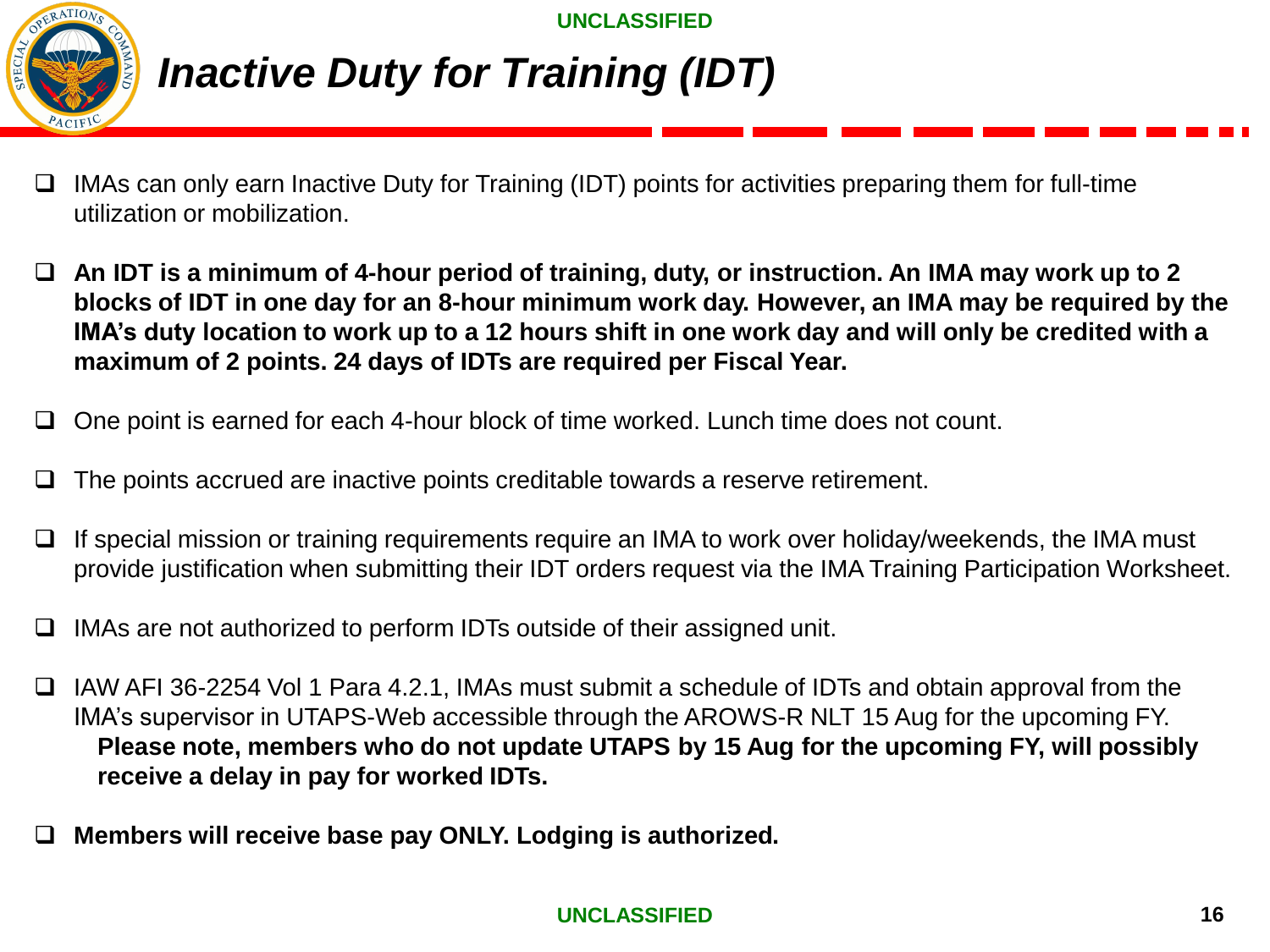

# *Inactive Duty for Training (IDT)*

- ❑ IMAs can only earn Inactive Duty for Training (IDT) points for activities preparing them for full-time utilization or mobilization.
- ❑ **An IDT is a minimum of 4-hour period of training, duty, or instruction. An IMA may work up to 2 blocks of IDT in one day for an 8-hour minimum work day. However, an IMA may be required by the IMA's duty location to work up to a 12 hours shift in one work day and will only be credited with a maximum of 2 points. 24 days of IDTs are required per Fiscal Year.**
- ❑ One point is earned for each 4-hour block of time worked. Lunch time does not count.
- ❑ The points accrued are inactive points creditable towards a reserve retirement.
- ❑ If special mission or training requirements require an IMA to work over holiday/weekends, the IMA must provide justification when submitting their IDT orders request via the IMA Training Participation Worksheet.
- ❑ IMAs are not authorized to perform IDTs outside of their assigned unit.
- ❑ IAW AFI 36-2254 Vol 1 Para 4.2.1, IMAs must submit a schedule of IDTs and obtain approval from the IMA's supervisor in UTAPS-Web accessible through the AROWS-R NLT 15 Aug for the upcoming FY. **Please note, members who do not update UTAPS by 15 Aug for the upcoming FY, will possibly receive a delay in pay for worked IDTs.**
- ❑ **Members will receive base pay ONLY. Lodging is authorized.**

### **UNCLASSIFIED 16** 16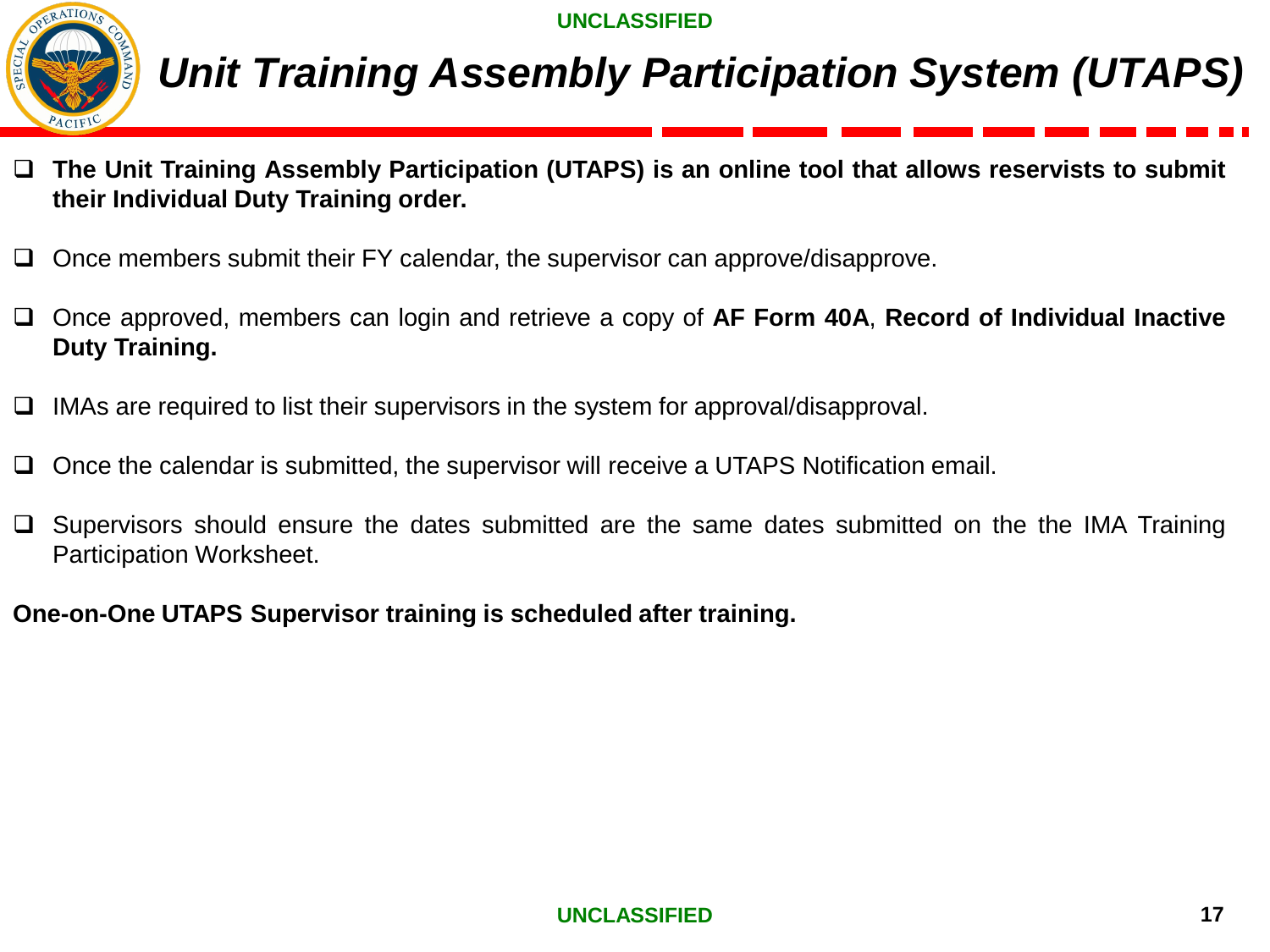

# *Unit Training Assembly Participation System (UTAPS)*

- ❑ **The Unit Training Assembly Participation (UTAPS) is an online tool that allows reservists to submit their Individual Duty Training order.**
- ❑ Once members submit their FY calendar, the supervisor can approve/disapprove.
- ❑ Once approved, members can login and retrieve a copy of **AF Form 40A**, **Record of Individual Inactive Duty Training.**
- ❑ IMAs are required to list their supervisors in the system for approval/disapproval.
- ❑ Once the calendar is submitted, the supervisor will receive a UTAPS Notification email.
- ❑ Supervisors should ensure the dates submitted are the same dates submitted on the the IMA Training Participation Worksheet.

**One-on-One UTAPS Supervisor training is scheduled after training.**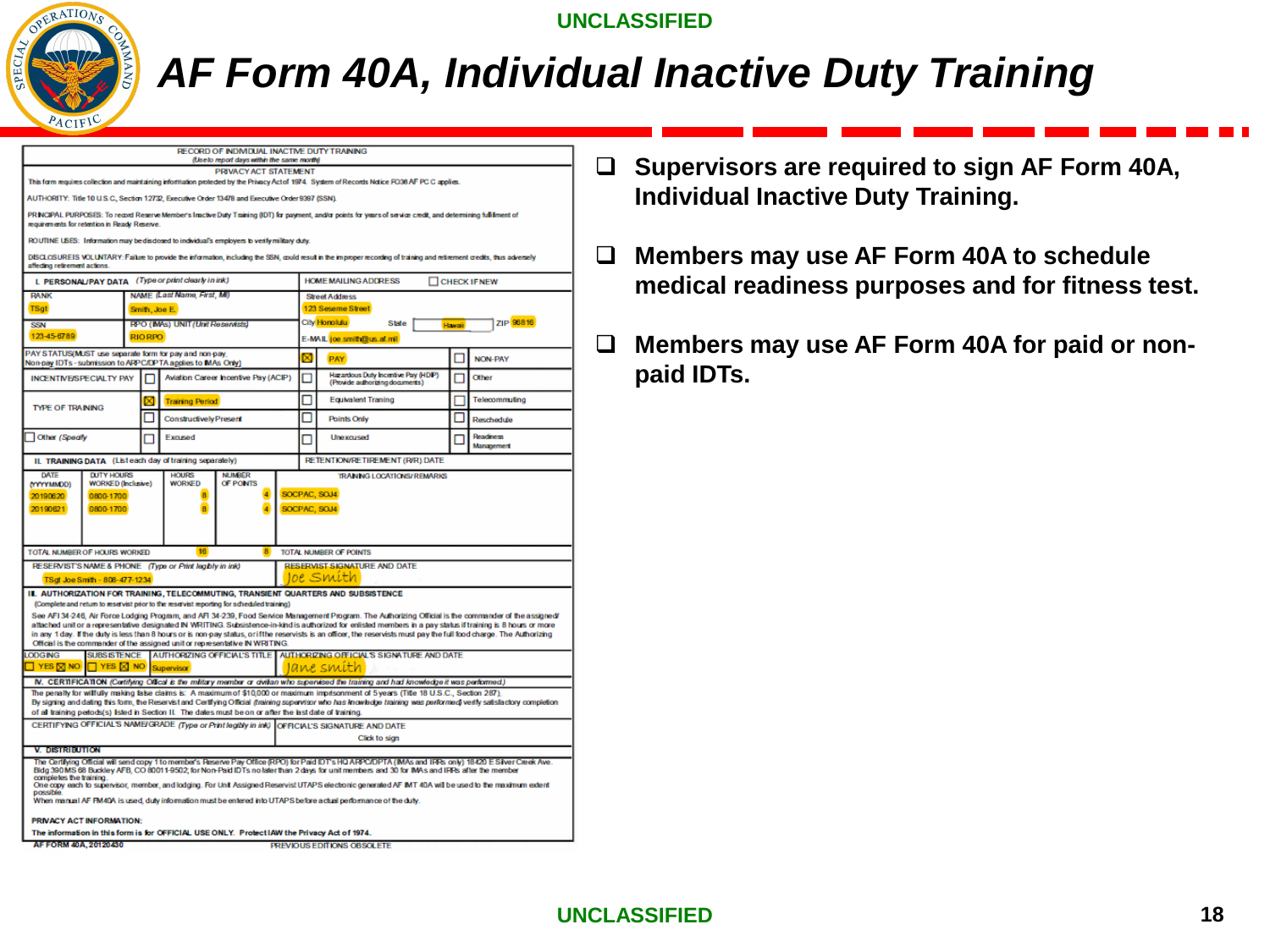

# *AF Form 40A, Individual Inactive Duty Training*

|                                                             |                                                |                |                                                         | RECORD OF INDMDUAL INACTIVE DUTY TRAINING<br>(Use to report days within the same morth)                   |   |                                                                                                                                                                                                                                                                                                                                                                                                                                                                    |        |                                      |
|-------------------------------------------------------------|------------------------------------------------|----------------|---------------------------------------------------------|-----------------------------------------------------------------------------------------------------------|---|--------------------------------------------------------------------------------------------------------------------------------------------------------------------------------------------------------------------------------------------------------------------------------------------------------------------------------------------------------------------------------------------------------------------------------------------------------------------|--------|--------------------------------------|
|                                                             |                                                |                |                                                         | PRIVACY ACT STATEMENT                                                                                     |   |                                                                                                                                                                                                                                                                                                                                                                                                                                                                    |        |                                      |
|                                                             |                                                |                |                                                         |                                                                                                           |   | This form requires collection and maintaining information protected by the Privacy Act of 1974. System of Records Notice FO36 AF PC C applies.                                                                                                                                                                                                                                                                                                                     |        |                                      |
|                                                             |                                                |                |                                                         | AUTHORITY: Title 10 U.S.C., Section 12732, Executive Order 13478 and Executive Order 9397 (SSN).          |   |                                                                                                                                                                                                                                                                                                                                                                                                                                                                    |        |                                      |
| requirements for retention in Ready Reserve.                |                                                |                |                                                         |                                                                                                           |   | PRINCIPAL PURPOSES: To record Reserve Member's Inactive Duty Training (IDT) for payment, and/or points for years of service credit, and determining fulfilment of                                                                                                                                                                                                                                                                                                  |        |                                      |
|                                                             |                                                |                |                                                         | ROUTINE USES: Information may be disclosed to individual's employers to verify military duty.             |   |                                                                                                                                                                                                                                                                                                                                                                                                                                                                    |        |                                      |
| affecting retirement actions.                               |                                                |                |                                                         |                                                                                                           |   | DISCLOSUREIS VOLUVITARY: Failure to provide the information, including the SSN, could result in the improper recording of training and retirement credits, thus adversely                                                                                                                                                                                                                                                                                          |        |                                      |
|                                                             |                                                |                | L PERSONAL/PAY DATA (Type or print clearly in ink)      |                                                                                                           |   | <b>HOME MAILING ADDRESS</b>                                                                                                                                                                                                                                                                                                                                                                                                                                        |        | CHECK IF NEW                         |
| <b>RANK</b>                                                 |                                                |                | NAME (Last Name, First, MI)                             |                                                                                                           |   | <b>Street Address</b>                                                                                                                                                                                                                                                                                                                                                                                                                                              |        |                                      |
| <b>TSgt</b>                                                 |                                                |                | Smith, Joe E.                                           |                                                                                                           |   | 123 Seseme Street<br>City Honolulu                                                                                                                                                                                                                                                                                                                                                                                                                                 |        | ZIP 96816                            |
| <b>SSN</b><br>123-45-6789                                   |                                                | <b>RIO RPO</b> | RPO (IMAs) UNIT (Unit Reservists)                       |                                                                                                           |   | State                                                                                                                                                                                                                                                                                                                                                                                                                                                              | Hawaii |                                      |
| PAY STATUS(MUST use separate form for pay and non-pay,      |                                                |                |                                                         |                                                                                                           |   | E-MAIL joe smith@us.af.mil                                                                                                                                                                                                                                                                                                                                                                                                                                         |        |                                      |
| Non-pay IDTs - submission to ARPC/DPTA applies to MAs Only) |                                                |                |                                                         |                                                                                                           |   | PAY                                                                                                                                                                                                                                                                                                                                                                                                                                                                |        | <b>NON-PAY</b>                       |
| <b>INCENTIVE/SPECIALTY PAY</b>                              |                                                |                |                                                         | Aviation Career Incentive Pay (ACIP)                                                                      |   | Hazardous Duty Incentive Pay (HDIP)<br>(Provide authorizing documents)                                                                                                                                                                                                                                                                                                                                                                                             |        | Other                                |
| <b>TYPE OF TRAINING</b>                                     |                                                |                | <b>Training Period</b>                                  |                                                                                                           | П | <b>Equivalent Traning</b>                                                                                                                                                                                                                                                                                                                                                                                                                                          |        | Telecommuting                        |
|                                                             |                                                |                | <b>Constructively Present</b>                           |                                                                                                           | П | <b>Points Only</b>                                                                                                                                                                                                                                                                                                                                                                                                                                                 |        | Reschedule                           |
| Other (Specify                                              |                                                |                | Excused                                                 |                                                                                                           |   | Unexcused                                                                                                                                                                                                                                                                                                                                                                                                                                                          |        | <b>Readness</b><br><b>Manapement</b> |
|                                                             |                                                |                | IL TRAINING DATA (Listeach day of training separately)  |                                                                                                           |   | <b>RETENTION/RETIREMENT (R/R) DATE</b>                                                                                                                                                                                                                                                                                                                                                                                                                             |        |                                      |
| DATE<br>(YYYYMMDD)                                          | <b>DUTY HOURS</b><br><b>WORKED (Inclusive)</b> |                | <b>HOURS</b><br><b>WORKED</b>                           | <b>NUMBER</b><br>OF PONTS                                                                                 |   | <b>TRANNG LOCATIONS/REMARKS</b>                                                                                                                                                                                                                                                                                                                                                                                                                                    |        |                                      |
| 20190621                                                    | 0800-1700                                      |                | $\overline{R}$                                          | $\boldsymbol{A}$                                                                                          |   | SOCPAC, SOJ4                                                                                                                                                                                                                                                                                                                                                                                                                                                       |        |                                      |
| TOTAL NUMBER OF HOURS WORKED                                |                                                |                | 16                                                      | 8                                                                                                         |   | TOTAL NUMBER OF POINTS                                                                                                                                                                                                                                                                                                                                                                                                                                             |        |                                      |
|                                                             |                                                |                | RESERVIST'S NAME & PHONE (Type or Print legibly in ink) |                                                                                                           |   | <b>RESERVIST SIGNATURE AND DATE</b><br>oe Smith                                                                                                                                                                                                                                                                                                                                                                                                                    |        |                                      |
|                                                             | TSot Joe Smith - 808-477-1234                  |                |                                                         |                                                                                                           |   | IL AUTHORIZATION FOR TRAINING, TELECOMMUTING, TRANSIENT QUARTERS AND SUBSISTENCE                                                                                                                                                                                                                                                                                                                                                                                   |        |                                      |
|                                                             |                                                |                |                                                         | (Complete and return to reservist prior to the reservist reporting for scheduled training)                |   |                                                                                                                                                                                                                                                                                                                                                                                                                                                                    |        |                                      |
|                                                             |                                                |                |                                                         |                                                                                                           |   | See AFI 34-246, Air Force Lodging Program, and AFI 34-239, Food Service Management Program. The Authorizing Official is the commander of the assigned/<br>attached unit or a representative designated IN WRITING. Subsistence-in-kind is authorized for enlisted members in a pay status if training is 8 hours or more                                                                                                                                           |        |                                      |
|                                                             |                                                |                |                                                         |                                                                                                           |   | in any 1 day. If the duty is less than 8 hours or is non-pay status, or if the reservists is an officer, the reservists must pay the full food charge. The Authorizing                                                                                                                                                                                                                                                                                             |        |                                      |
| <b>LODGING</b>                                              | <b>SUBSISTENCE</b>                             |                |                                                         | Official is the commander of the assigned unit or representative IN WRITING.                              |   | AUTHORIZING OFFICIAL'S TITLE AUTHORIZING OFFICIAL'S SIGNATURE AND DATE                                                                                                                                                                                                                                                                                                                                                                                             |        |                                      |
| $\frac{1}{2}$ YES $\boxtimes$ NO                            | $\Box$ YES $\boxtimes$ NO                      |                | Supervisor                                              |                                                                                                           |   | Iane smith                                                                                                                                                                                                                                                                                                                                                                                                                                                         |        |                                      |
|                                                             |                                                |                |                                                         |                                                                                                           |   | N. CERTIFICATION (Certifying Offical is the military member or dwifan who supervised the training and had knowledge it was performed.)                                                                                                                                                                                                                                                                                                                             |        |                                      |
|                                                             |                                                |                |                                                         | of all training periods(s) listed in Section II. The dates must be on or after the last date of training. |   | The penalty for wilfully making false claims is: A maximum of \$10,000 or maximum imprisonment of 5 years (Title 18 U.S.C., Section 287),<br>By signing and dating this form, the Reservist and Certifying Official (training supervisor who has knowledge training was performed verify satisfactory completion                                                                                                                                                   |        |                                      |
|                                                             |                                                |                |                                                         |                                                                                                           |   | CERTIFYING OFFICIAL'S NAME/GRADE (Type or Print legibly in ink) OFFICIAL'S SIGNATURE AND DATE                                                                                                                                                                                                                                                                                                                                                                      |        |                                      |
|                                                             |                                                |                |                                                         |                                                                                                           |   | Click to sign                                                                                                                                                                                                                                                                                                                                                                                                                                                      |        |                                      |
| <b>V. DISTRIBUTION</b>                                      |                                                |                |                                                         |                                                                                                           |   |                                                                                                                                                                                                                                                                                                                                                                                                                                                                    |        |                                      |
| completes the training<br>possible                          |                                                |                |                                                         |                                                                                                           |   | The Certifying Official will send copy 1 to member's Reserve Pay Office (RPO) for Paid IDT's HQ ARPC/DPTA (IMAs and IRPs only) 18420 E Silver Creek Ave.<br>Bldg 390 MS 68 Buckley AFB, CO 80011-9502, for Non-Paid IDTs no later than 2 days for unit members and 30 for IMAs and IRRs after the member<br>One copy each to supervisor, member, and lodging. For Unit Assigned Reservist UTAPS electronic generated AF IMT 40A will be used to the maximum extent |        |                                      |
|                                                             |                                                |                |                                                         |                                                                                                           |   | When manual AF FM40A is used, duty information must be entered into UTAPS before a clual performance of the duty.                                                                                                                                                                                                                                                                                                                                                  |        |                                      |
| <b>PRIVACY ACT INFORMATION:</b>                             |                                                |                |                                                         |                                                                                                           |   |                                                                                                                                                                                                                                                                                                                                                                                                                                                                    |        |                                      |
| AF FORM 40A.20120430                                        |                                                |                |                                                         | The information in this form is for OFFICIAL USE ONLY. Protect IAW the Privacy Act of 1974.               |   | PREVIOUS EDITIONS OBSOLETE                                                                                                                                                                                                                                                                                                                                                                                                                                         |        |                                      |
|                                                             |                                                |                |                                                         |                                                                                                           |   |                                                                                                                                                                                                                                                                                                                                                                                                                                                                    |        |                                      |

- ❑ **Supervisors are required to sign AF Form 40A, Individual Inactive Duty Training.**
- ❑ **Members may use AF Form 40A to schedule medical readiness purposes and for fitness test.**
- ❑ **Members may use AF Form 40A for paid or nonpaid IDTs.**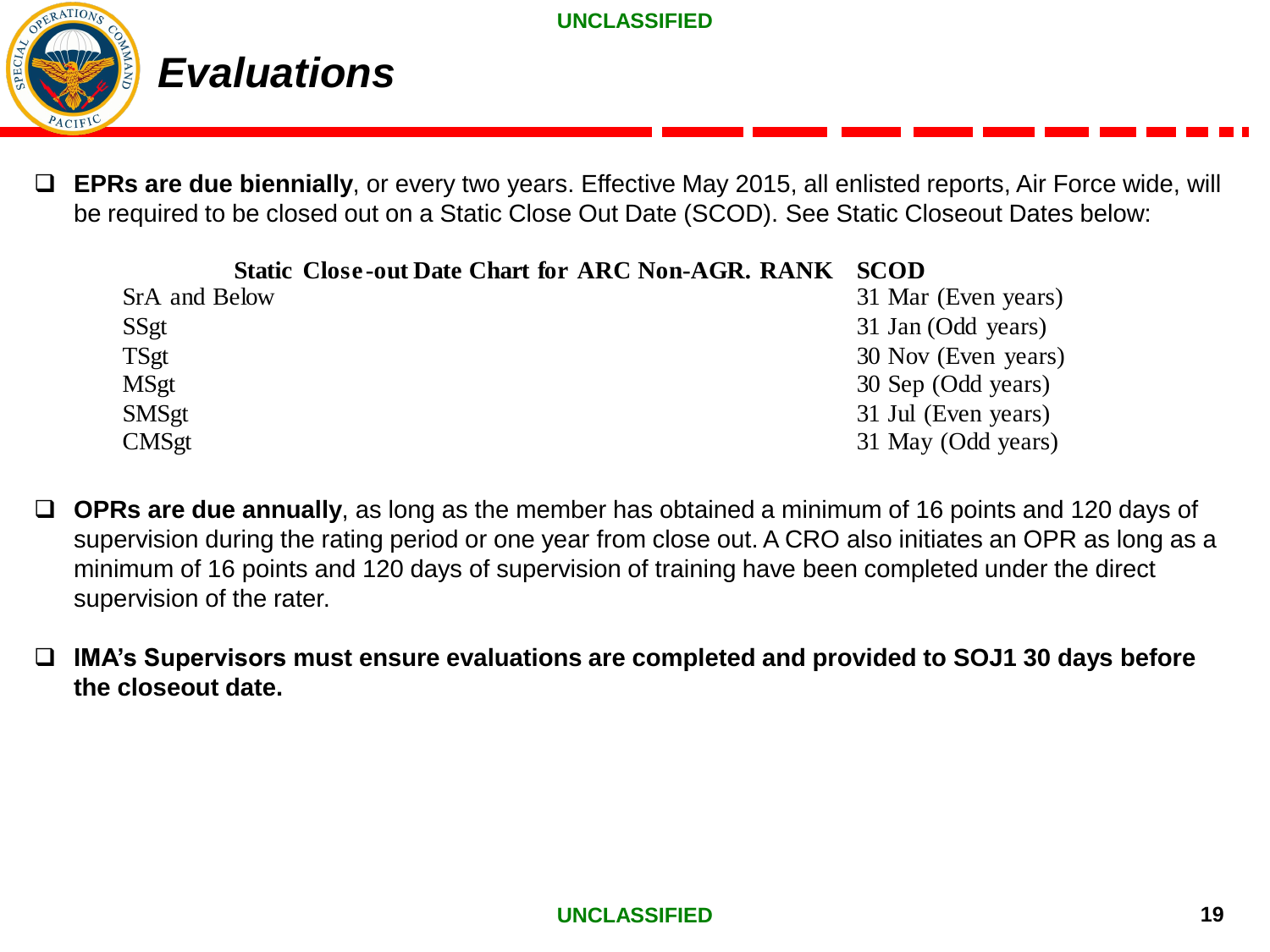

❑ **EPRs are due biennially**, or every two years. Effective May 2015, all enlisted reports, Air Force wide, will be required to be closed out on a Static Close Out Date (SCOD). See Static Closeout Dates below:

| <b>Static Close-out Date Chart for ARC Non-AGR. RANK SCOD</b> |                     |
|---------------------------------------------------------------|---------------------|
| SrA and Below                                                 | 31 Mar (Even years) |
| SSgt                                                          | 31 Jan (Odd years)  |
| TSgt                                                          | 30 Nov (Even years) |
| <b>MSgt</b>                                                   | 30 Sep (Odd years)  |
| <b>SMSgt</b>                                                  | 31 Jul (Even years) |
| <b>CMSgt</b>                                                  | 31 May (Odd years)  |

- ❑ **OPRs are due annually**, as long as the member has obtained a minimum of 16 points and 120 days of supervision during the rating period or one year from close out. A CRO also initiates an OPR as long as a minimum of 16 points and 120 days of supervision of training have been completed under the direct supervision of the rater.
- ❑ **IMA's Supervisors must ensure evaluations are completed and provided to SOJ1 30 days before the closeout date.**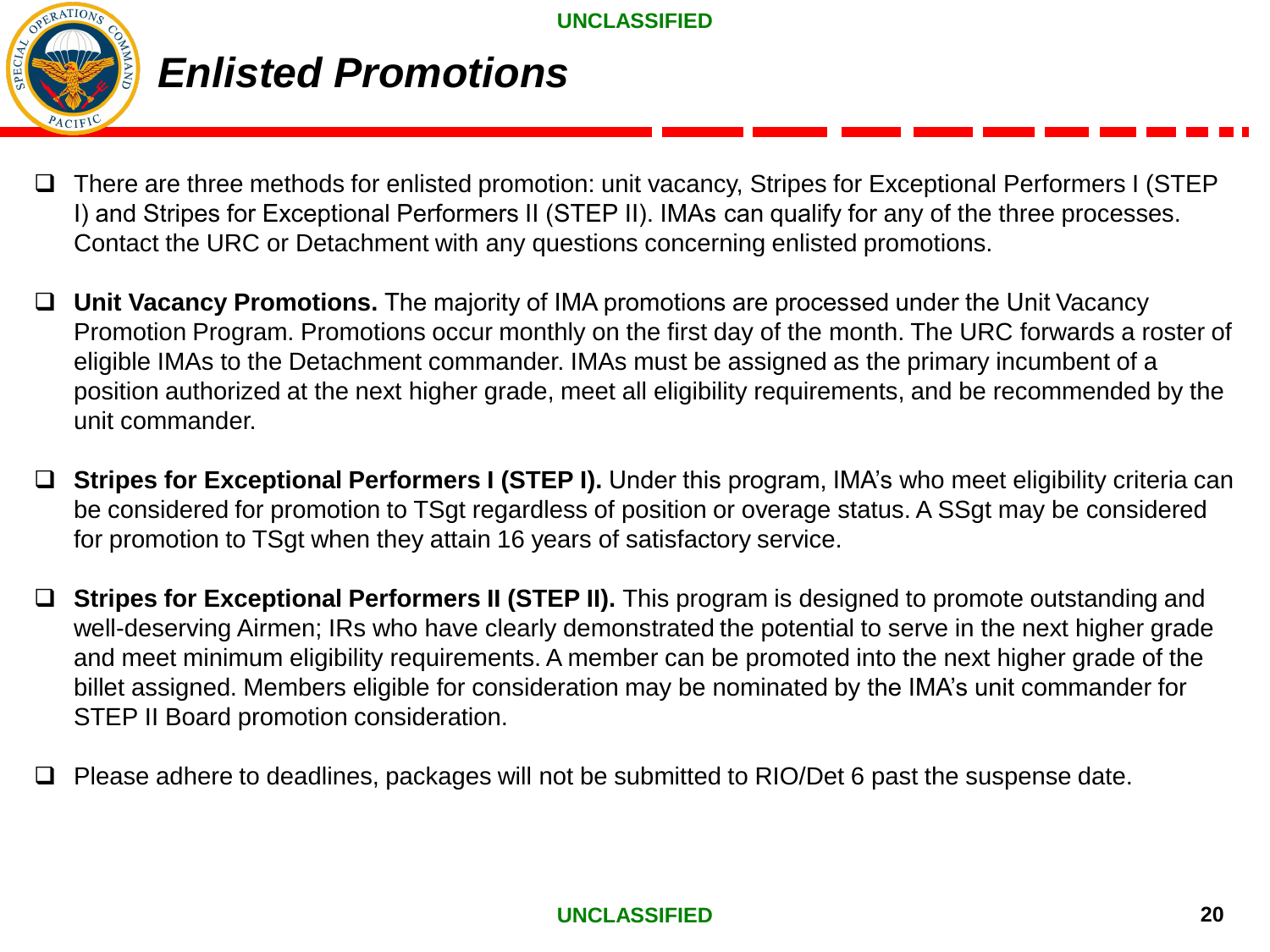

## *Enlisted Promotions*

- ❑ There are three methods for enlisted promotion: unit vacancy, Stripes for Exceptional Performers I (STEP I) and Stripes for Exceptional Performers II (STEP II). IMAs can qualify for any of the three processes. Contact the URC or Detachment with any questions concerning enlisted promotions.
- ❑ **Unit Vacancy Promotions.** The majority of IMA promotions are processed under the Unit Vacancy Promotion Program. Promotions occur monthly on the first day of the month. The URC forwards a roster of eligible IMAs to the Detachment commander. IMAs must be assigned as the primary incumbent of a position authorized at the next higher grade, meet all eligibility requirements, and be recommended by the unit commander.
- ❑ **Stripes for Exceptional Performers I (STEP I).** Under this program, IMA's who meet eligibility criteria can be considered for promotion to TSgt regardless of position or overage status. A SSgt may be considered for promotion to TSgt when they attain 16 years of satisfactory service.
- ❑ **Stripes for Exceptional Performers II (STEP II).** This program is designed to promote outstanding and well-deserving Airmen; IRs who have clearly demonstrated the potential to serve in the next higher grade and meet minimum eligibility requirements. A member can be promoted into the next higher grade of the billet assigned. Members eligible for consideration may be nominated by the IMA's unit commander for STEP II Board promotion consideration.
- ❑ Please adhere to deadlines, packages will not be submitted to RIO/Det 6 past the suspense date.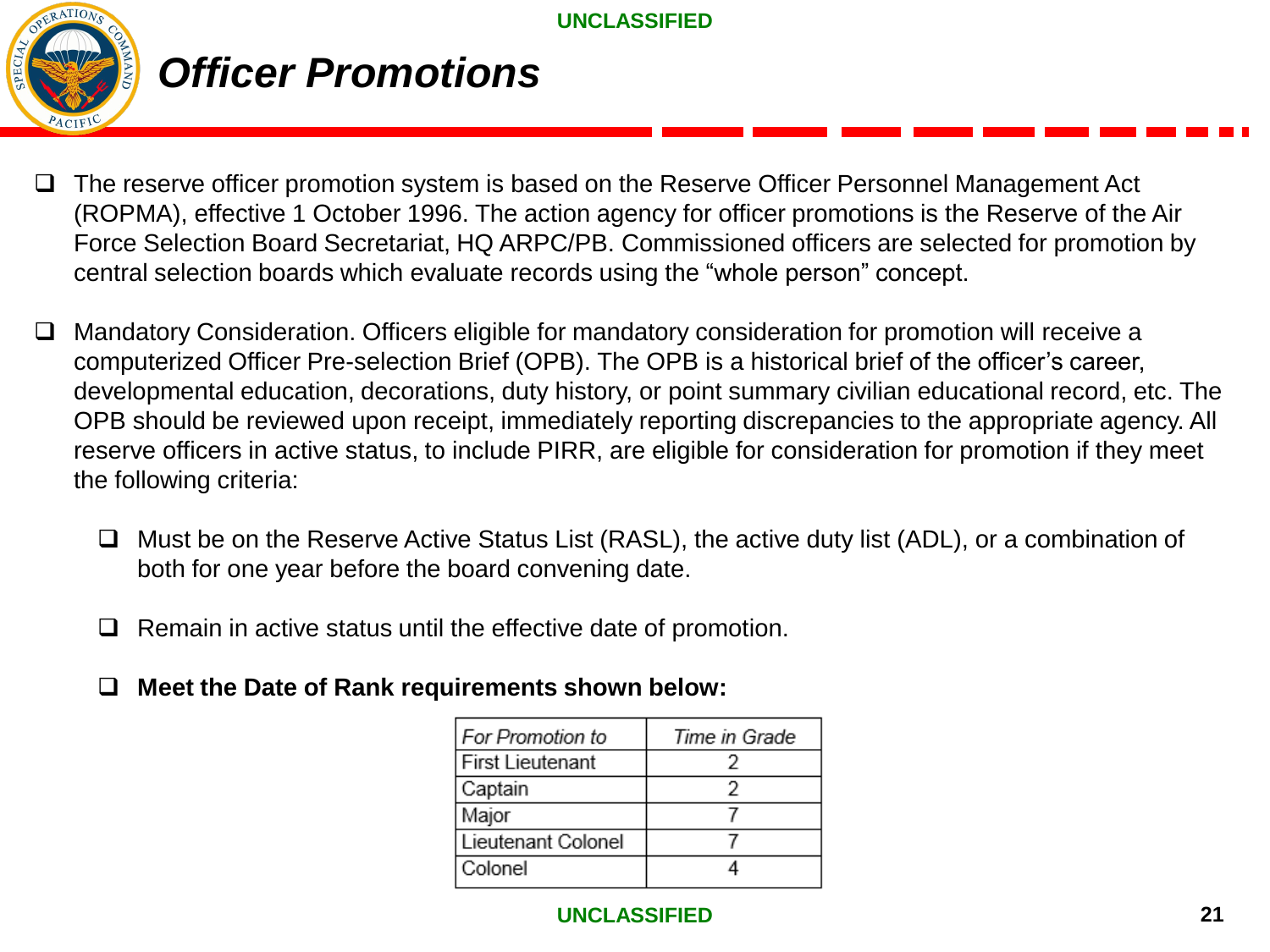

### *Officer Promotions*

- ❑ The reserve officer promotion system is based on the Reserve Officer Personnel Management Act (ROPMA), effective 1 October 1996. The action agency for officer promotions is the Reserve of the Air Force Selection Board Secretariat, HQ ARPC/PB. Commissioned officers are selected for promotion by central selection boards which evaluate records using the "whole person" concept.
- Mandatory Consideration. Officers eligible for mandatory consideration for promotion will receive a computerized Officer Pre-selection Brief (OPB). The OPB is a historical brief of the officer's career, developmental education, decorations, duty history, or point summary civilian educational record, etc. The OPB should be reviewed upon receipt, immediately reporting discrepancies to the appropriate agency. All reserve officers in active status, to include PIRR, are eligible for consideration for promotion if they meet the following criteria:
	- ❑ Must be on the Reserve Active Status List (RASL), the active duty list (ADL), or a combination of both for one year before the board convening date.
	- ❑ Remain in active status until the effective date of promotion.
	- ❑ **Meet the Date of Rank requirements shown below:**

| <b>For Promotion to</b> | Time in Grade |
|-------------------------|---------------|
| <b>First Lieutenant</b> |               |
| Captain                 |               |
| Major                   |               |
| Lieutenant Colonel      |               |
| Colonel                 |               |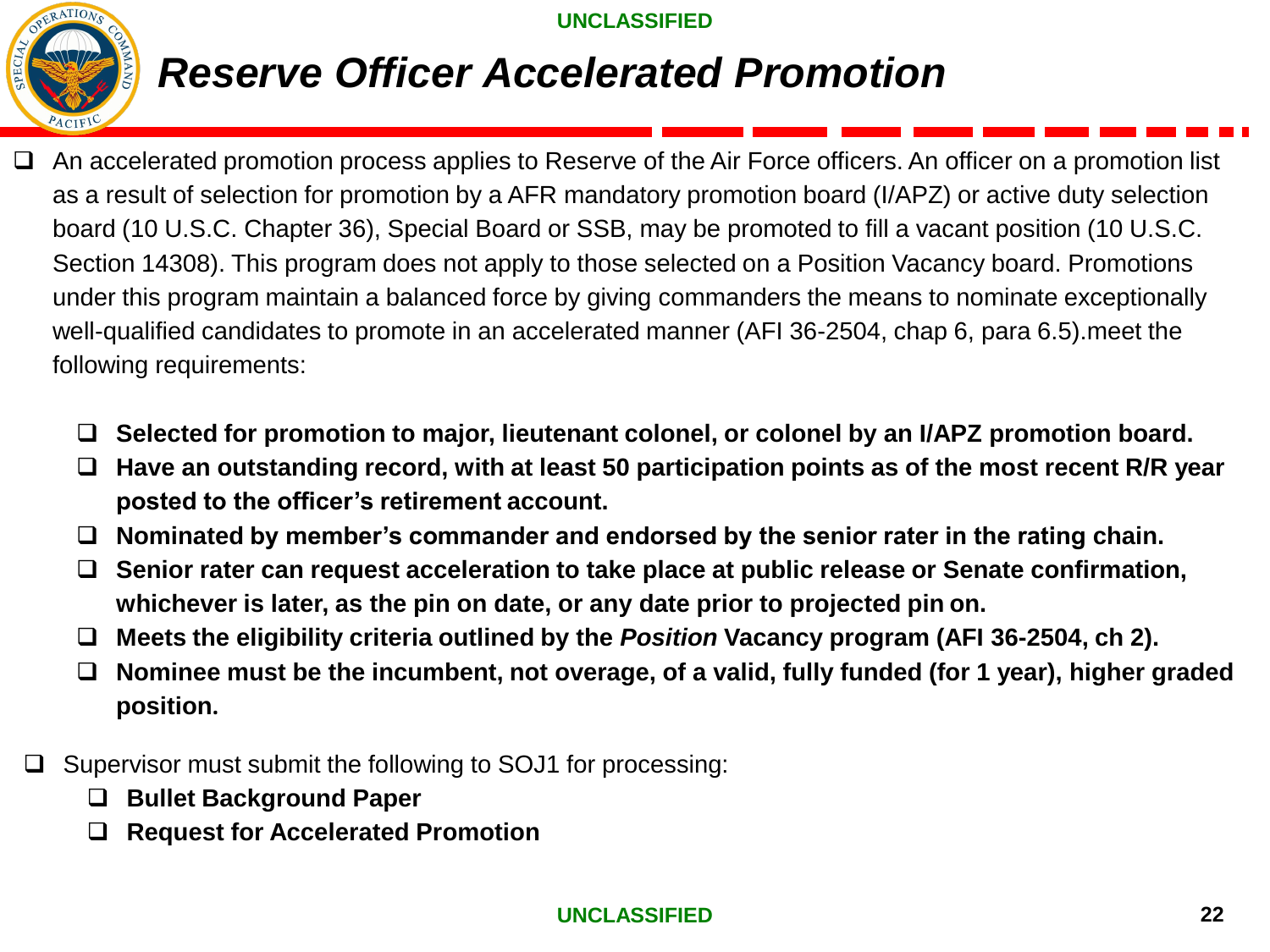

## *Reserve Officer Accelerated Promotion*

- ❑ An accelerated promotion process applies to Reserve of the Air Force officers. An officer on a promotion list as a result of selection for promotion by a AFR mandatory promotion board (I/APZ) or active duty selection board (10 U.S.C. Chapter 36), Special Board or SSB, may be promoted to fill a vacant position (10 U.S.C. Section 14308). This program does not apply to those selected on a Position Vacancy board. Promotions under this program maintain a balanced force by giving commanders the means to nominate exceptionally well-qualified candidates to promote in an accelerated manner (AFI 36-2504, chap 6, para 6.5).meet the following requirements:
	- ❑ **Selected for promotion to major, lieutenant colonel, or colonel by an I/APZ promotion board.**
	- ❑ **Have an outstanding record, with at least 50 participation points as of the most recent R/R year posted to the officer's retirement account.**
	- ❑ **Nominated by member's commander and endorsed by the senior rater in the rating chain.**
	- ❑ **Senior rater can request acceleration to take place at public release or Senate confirmation, whichever is later, as the pin on date, or any date prior to projected pin on.**
	- ❑ **Meets the eligibility criteria outlined by the** *Position* **Vacancy program (AFI 36-2504, ch 2).**
	- ❑ **Nominee must be the incumbent, not overage, of a valid, fully funded (for 1 year), higher graded position.**
	- Supervisor must submit the following to SOJ1 for processing:
		- ❑ **Bullet Background Paper**
		- ❑ **Request for Accelerated Promotion**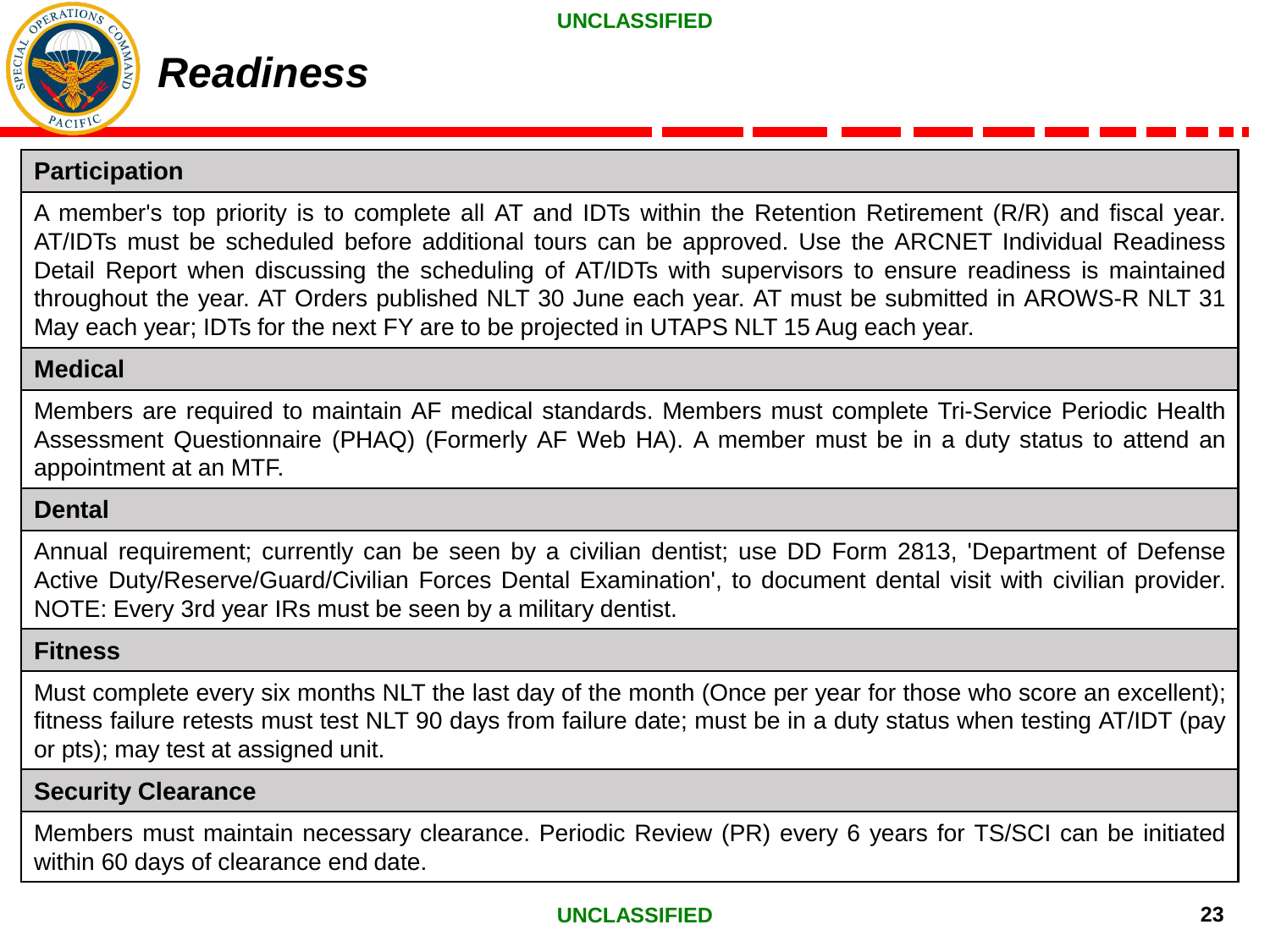

### **Participation**

A member's top priority is to complete all AT and IDTs within the Retention Retirement (R/R) and fiscal year. AT/IDTs must be scheduled before additional tours can be approved. Use the ARCNET Individual Readiness Detail Report when discussing the scheduling of AT/IDTs with supervisors to ensure readiness is maintained throughout the year. AT Orders published NLT 30 June each year. AT must be submitted in AROWS-R NLT 31 May each year; IDTs for the next FY are to be projected in UTAPS NLT 15 Aug each year.

#### **Medical**

Members are required to maintain AF medical standards. Members must complete Tri-Service Periodic Health Assessment Questionnaire (PHAQ) (Formerly AF Web HA). A member must be in a duty status to attend an appointment at an MTF.

### **Dental**

Annual requirement; currently can be seen by a civilian dentist; use DD Form 2813, 'Department of Defense Active Duty/Reserve/Guard/Civilian Forces Dental Examination', to document dental visit with civilian provider. NOTE: Every 3rd year IRs must be seen by a military dentist.

#### **Fitness**

Must complete every six months NLT the last day of the month (Once per year for those who score an excellent); fitness failure retests must test NLT 90 days from failure date; must be in a duty status when testing AT/IDT (pay or pts); may test at assigned unit.

### **Security Clearance**

Members must maintain necessary clearance. Periodic Review (PR) every 6 years for TS/SCI can be initiated within 60 days of clearance end date.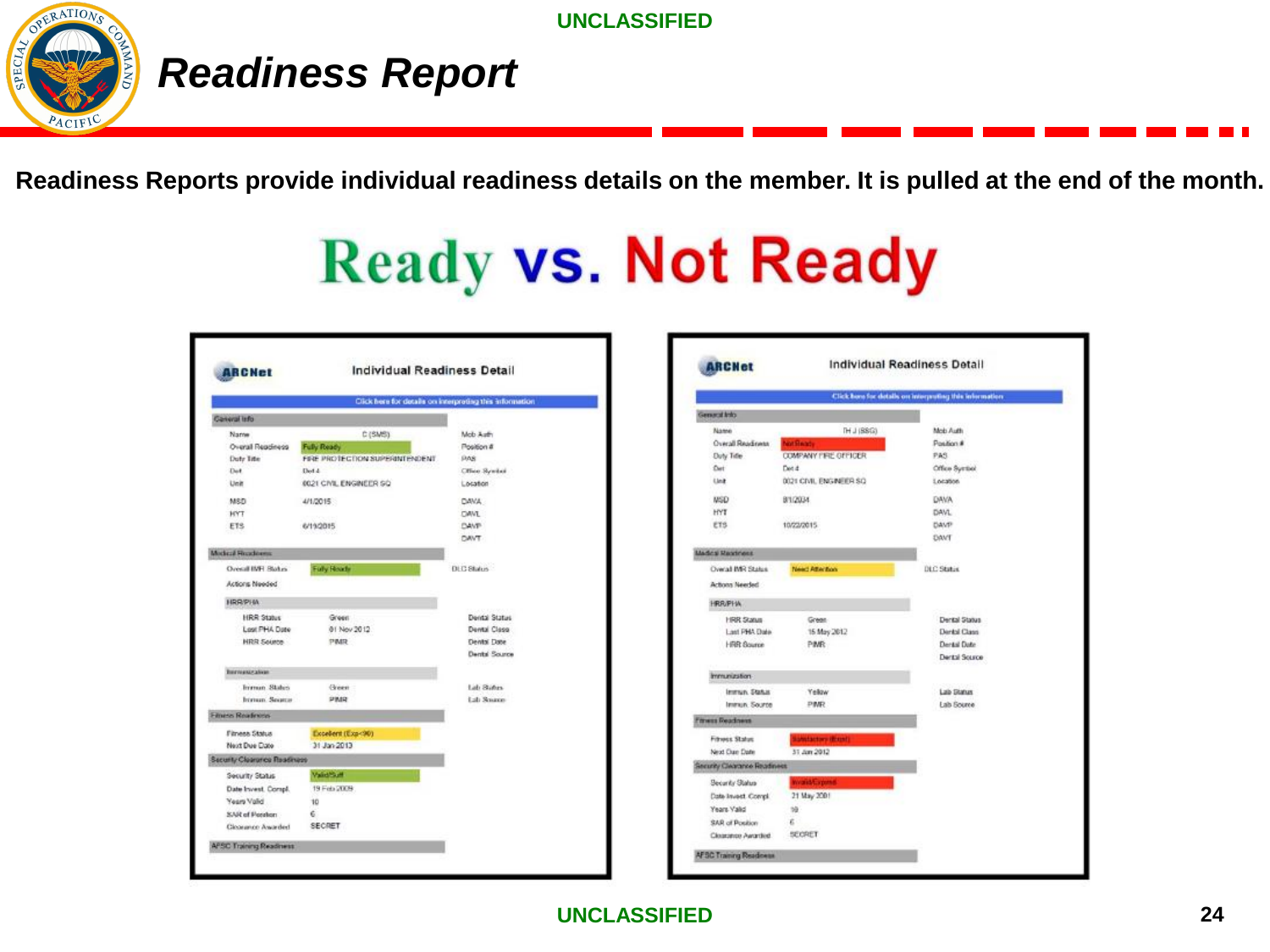

# *Readiness Report*

**Readiness Reports provide individual readiness details on the member. It is pulled at the end of the month.** 

# **Ready vs. Not Ready**

|                                                                                               |                                                                                            | Click here for details on interpreting this information            |
|-----------------------------------------------------------------------------------------------|--------------------------------------------------------------------------------------------|--------------------------------------------------------------------|
| Coneral Info                                                                                  |                                                                                            |                                                                    |
| Name<br>Overall Readiness<br><b>Duty Title</b><br>Det<br>Unit<br>MSD                          | C(5MS)<br>Fully Ready<br>FIRE PROTECTION SUPERINTENDENT<br>Det 4<br>0021 CIVIL ENGINEER SO | Mob Auth<br>Position #<br><b>DAS</b><br>Office Syndici<br>Location |
| <b>HYT</b><br>ETS:                                                                            | 4/1/2015<br>6/19/2015                                                                      | DAVA .<br><b>DAVI</b><br><b>DANT-</b><br><b>DAVT</b>               |
| <b>Macked Houdness</b>                                                                        |                                                                                            |                                                                    |
| Overall IMFL Blakes<br>Actions Needed                                                         | <b>Fully Ready</b>                                                                         | <b>DLC Status</b>                                                  |
| HRRPHA                                                                                        |                                                                                            |                                                                    |
| <b>HRR Status</b><br>Lost PHA Date<br><b>NRR Source</b>                                       | Green<br>01 Nov 2012<br>PMR                                                                | Dental Status<br>Dental Class<br>Dental Date<br>Dental Source      |
| <b>Burnancration</b>                                                                          |                                                                                            |                                                                    |
| Irremon States<br>brenun, Seurca                                                              | Green<br>PMR                                                                               | Lidi Stüfus<br>Lab Senator                                         |
| <b>Filters Readmost</b>                                                                       |                                                                                            |                                                                    |
| Fitness Status<br>Next Due Date                                                               | Excellent (Exp<90)<br>31 Jan 2013                                                          |                                                                    |
| Security Clearance Readingss                                                                  |                                                                                            |                                                                    |
| Security Status<br>Date Invest, Compl.<br>Years Valid<br>SAR of Perchan<br>Cloorance Assorded | <b><i>Validition</i></b><br>19 Feb 2009<br>10<br>е<br><b>SECRET</b>                        |                                                                    |

| <b>ARCHet</b>                      |                             | <b>Individual Readiness Detail</b>                       |
|------------------------------------|-----------------------------|----------------------------------------------------------|
|                                    |                             | Click have for details on interpreting this information. |
| General Info.                      |                             |                                                          |
| Name                               | TH J (SSG)                  | Mob Auth                                                 |
| Overall Readiness                  | <b>WARRING</b>              | Position #                                               |
| <b>Duty Title</b>                  | <b>COMPANY FIRE GIFTOER</b> | PAS                                                      |
| Det                                | Detit                       | Office System                                            |
| Link:                              | 0021 CIVIL ENGINEER SO      | Location                                                 |
| <b>NSD</b>                         | 9/1/2034                    | <b>DAVA</b>                                              |
| HYT                                |                             | DAVL                                                     |
| ETS                                | 10/22/2015                  | DAVP                                                     |
|                                    |                             | DAVT                                                     |
| <b>Mades Rastross</b>              |                             |                                                          |
| Oweal IMR States                   | News Attention              | DLC Statis                                               |
| <b>Actions Needed</b>              |                             |                                                          |
| <b>HRR/PHA</b>                     |                             |                                                          |
| <b>HRR Status</b>                  | Great                       | Dental Status                                            |
| Last PHA Date                      | 15 May 2012                 | Derald Class                                             |
| HRR Bource                         | PMR:                        | Derail Date                                              |
|                                    |                             | Derital Source                                           |
| immunization-                      |                             |                                                          |
| Immun, Status                      | Yellow                      | Lab Status                                               |
| Immun. Source                      | <b>PIMR</b>                 | <b>Lab Source</b>                                        |
| <b>Fitness Readness</b>            |                             |                                                          |
| <b>Fitness Status</b>              | <b>Installmental</b>        |                                                          |
| Next Clue Date                     | 31. Apr 2012                |                                                          |
| <b>Security Clearance Readment</b> |                             |                                                          |
| Security Status                    |                             |                                                          |
| Date Invest Compl.                 | 21 May 2001                 |                                                          |
| Years Valid                        | tà                          |                                                          |
| SAR of Position                    | ε                           |                                                          |
| Clossance Awarded                  | SECRET                      |                                                          |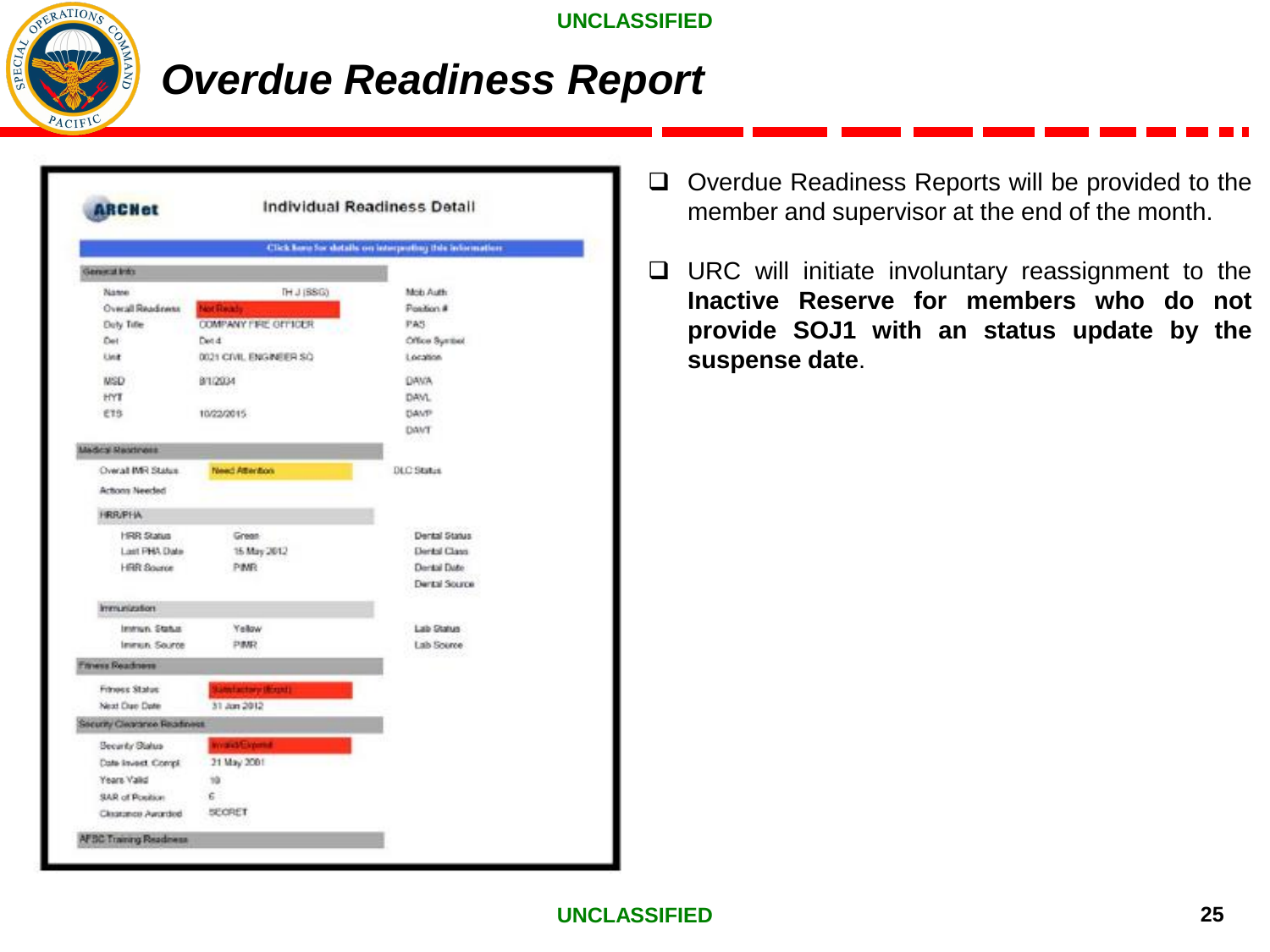

### *Overdue Readiness Report*

| <b>ARCHet</b>                      | Individual Readiness Detail  |                                                          |  |  |  |  |
|------------------------------------|------------------------------|----------------------------------------------------------|--|--|--|--|
|                                    |                              | Click have for details on interpreting this information: |  |  |  |  |
| General Into                       |                              |                                                          |  |  |  |  |
| Name                               | TH J (BSG)                   | Mob Auth                                                 |  |  |  |  |
| Overall Readment                   | <b>Not Receive</b>           | Position #                                               |  |  |  |  |
| Doly Tifle                         | <b>COMPANY FIRE GITTIGER</b> | PAS                                                      |  |  |  |  |
| Det                                | Det 4                        | Office System                                            |  |  |  |  |
| Link                               | 0021 CIVIL ENGINEER SQ       | Location.                                                |  |  |  |  |
| <b>NSD</b>                         | 8/1/2034                     | <b>DAVA</b>                                              |  |  |  |  |
| HYE                                |                              | DAVL.                                                    |  |  |  |  |
| E15                                | 10/22/2015                   | <b>DAVP</b>                                              |  |  |  |  |
|                                    |                              | DANT                                                     |  |  |  |  |
| <b>Medical Meatingss</b>           |                              |                                                          |  |  |  |  |
| Overall IMR Status                 | Need Attention               | <b>DLC Status</b>                                        |  |  |  |  |
| Actions Needed                     |                              |                                                          |  |  |  |  |
| <b>HRR/PHA</b>                     |                              |                                                          |  |  |  |  |
| HRR Status                         | Green-                       | Dental Status                                            |  |  |  |  |
| Lost PHA Date                      | 15 May 2012                  | <b>Eleribal Class</b>                                    |  |  |  |  |
| <b>HRR Source</b>                  | PIMR.                        | Dental Date                                              |  |  |  |  |
|                                    |                              | <b>Dental Source</b>                                     |  |  |  |  |
| Immunization                       |                              |                                                          |  |  |  |  |
| Immun. Status                      | Yellow                       | Lab Status                                               |  |  |  |  |
| Immun. Source                      | PMR                          | Lab Source                                               |  |  |  |  |
| <b>Tivess Readness</b>             |                              |                                                          |  |  |  |  |
| Frimess Status                     | Litted actory (Risgid)       |                                                          |  |  |  |  |
| Next Club Date                     | 31 Jan 2012                  |                                                          |  |  |  |  |
| <b>Security Clearance Readment</b> |                              |                                                          |  |  |  |  |
| Security Status                    |                              |                                                          |  |  |  |  |
| Cole Invest Compi                  | 21 May 2001                  |                                                          |  |  |  |  |
| Years Valid                        | тà                           |                                                          |  |  |  |  |
| SAR of Position                    | £.                           |                                                          |  |  |  |  |
| Clearance Awarded                  | SECRET                       |                                                          |  |  |  |  |

- ❑ Overdue Readiness Reports will be provided to the member and supervisor at the end of the month.
- ❑ URC will initiate involuntary reassignment to the **Inactive Reserve for members who do not provide SOJ1 with an status update by the suspense date**.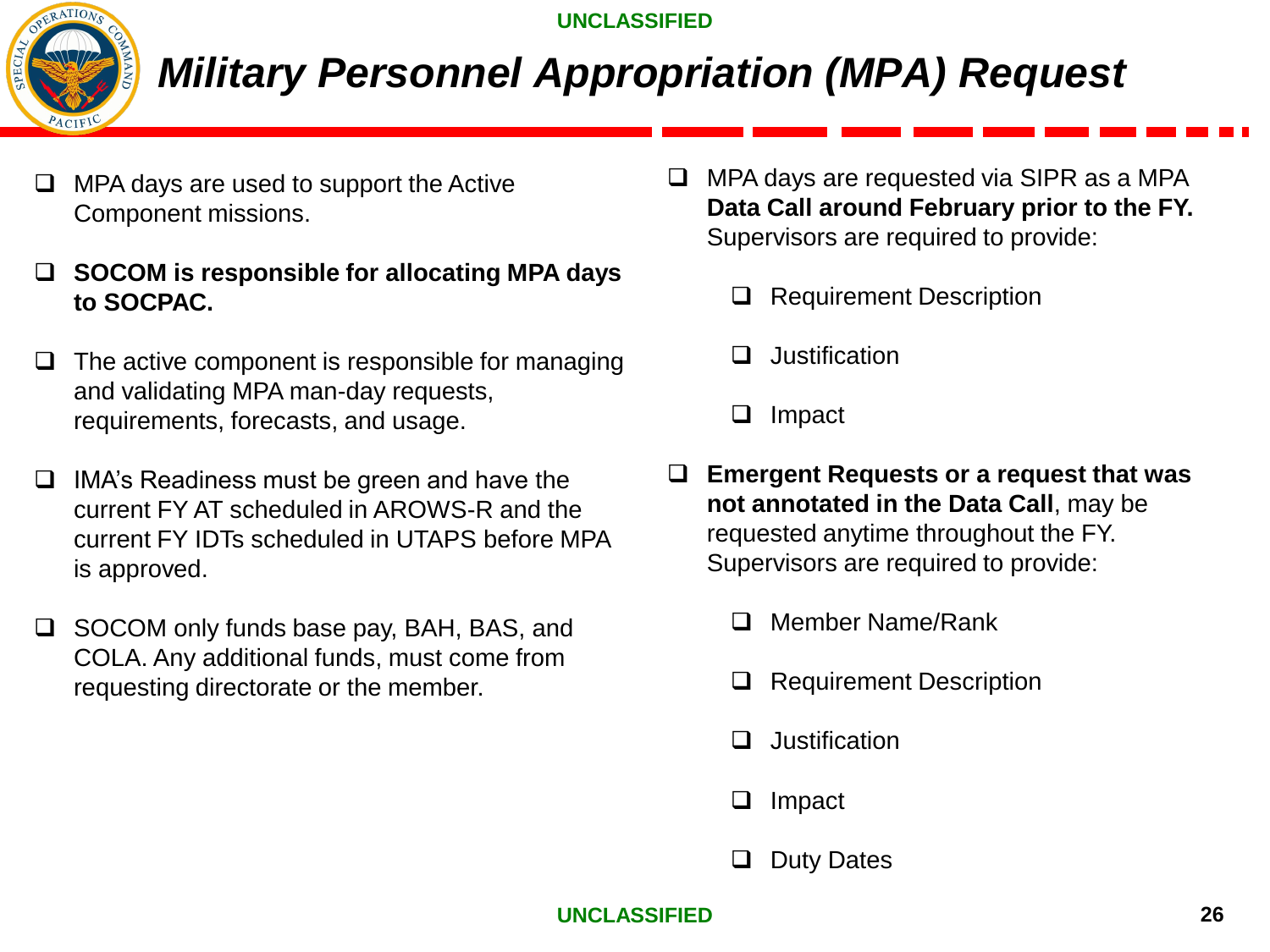

# *Military Personnel Appropriation (MPA) Request*

- ❑ MPA days are used to support the Active Component missions.
- ❑ **SOCOM is responsible for allocating MPA days to SOCPAC.**
- $\Box$  The active component is responsible for managing and validating MPA man-day requests, requirements, forecasts, and usage.
- ❑ IMA's Readiness must be green and have the current FY AT scheduled in AROWS-R and the current FY IDTs scheduled in UTAPS before MPA is approved.
- ❑ SOCOM only funds base pay, BAH, BAS, and COLA. Any additional funds, must come from requesting directorate or the member.
- ❑ MPA days are requested via SIPR as a MPA **Data Call around February prior to the FY.**  Supervisors are required to provide:
	- ❑ Requirement Description
	- ❑ Justification
	- ❑ Impact
- ❑ **Emergent Requests or a request that was not annotated in the Data Call**, may be requested anytime throughout the FY. Supervisors are required to provide:
	- ❑ Member Name/Rank
	- ❑ Requirement Description
	- ❑ Justification
	- ❑ Impact
	- Duty Dates